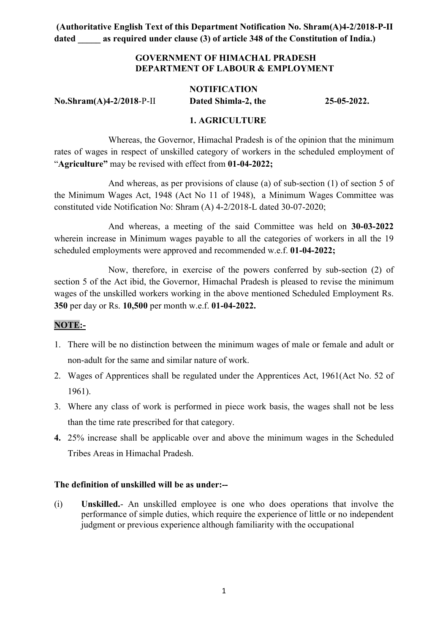### GOVERNMENT OF HIMACHAL PRADESH DEPARTMENT OF LABOUR & EMPLOYMENT

### **NOTIFICATION** No.Shram(A)4-2/2018-P-II Dated Shimla-2, the 25-05-2022.

### 1. AGRICULTURE

Whereas, the Governor, Himachal Pradesh is of the opinion that the minimum rates of wages in respect of unskilled category of workers in the scheduled employment of "Agriculture" may be revised with effect from 01-04-2022;

And whereas, as per provisions of clause (a) of sub-section (1) of section 5 of the Minimum Wages Act, 1948 (Act No 11 of 1948), a Minimum Wages Committee was constituted vide Notification No: Shram (A) 4-2/2018-L dated 30-07-2020;

And whereas, a meeting of the said Committee was held on 30-03-2022 wherein increase in Minimum wages payable to all the categories of workers in all the 19 scheduled employments were approved and recommended w.e.f. 01-04-2022;

Now, therefore, in exercise of the powers conferred by sub-section (2) of section 5 of the Act ibid, the Governor, Himachal Pradesh is pleased to revise the minimum wages of the unskilled workers working in the above mentioned Scheduled Employment Rs. 350 per day or Rs. 10,500 per month w.e.f. 01-04-2022.

### NOTE:-

- 1. There will be no distinction between the minimum wages of male or female and adult or non-adult for the same and similar nature of work.
- 2. Wages of Apprentices shall be regulated under the Apprentices Act, 1961(Act No. 52 of 1961).
- 3. Where any class of work is performed in piece work basis, the wages shall not be less than the time rate prescribed for that category.
- 4. 25% increase shall be applicable over and above the minimum wages in the Scheduled Tribes Areas in Himachal Pradesh.

### The definition of unskilled will be as under:--

(i) Unskilled.- An unskilled employee is one who does operations that involve the performance of simple duties, which require the experience of little or no independent judgment or previous experience although familiarity with the occupational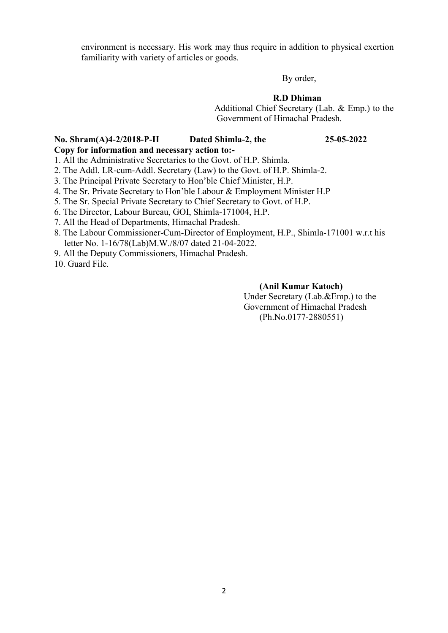environment is necessary. His work may thus require in addition to physical exertion familiarity with variety of articles or goods.

By order,

#### R.D Dhiman

 Additional Chief Secretary (Lab. & Emp.) to the Government of Himachal Pradesh.

#### No. Shram(A)4-2/2018-P-II Dated Shimla-2, the 25-05-2022 Copy for information and necessary action to:-

1. All the Administrative Secretaries to the Govt. of H.P. Shimla.

- 2. The Addl. LR-cum-Addl. Secretary (Law) to the Govt. of H.P. Shimla-2.
- 3. The Principal Private Secretary to Hon'ble Chief Minister, H.P.
- 4. The Sr. Private Secretary to Hon'ble Labour & Employment Minister H.P
- 5. The Sr. Special Private Secretary to Chief Secretary to Govt. of H.P.
- 6. The Director, Labour Bureau, GOI, Shimla-171004, H.P.
- 7. All the Head of Departments, Himachal Pradesh.
- 8. The Labour Commissioner-Cum-Director of Employment, H.P., Shimla-171001 w.r.t his letter No. 1-16/78(Lab)M.W./8/07 dated 21-04-2022.
- 9. All the Deputy Commissioners, Himachal Pradesh.
- 10. Guard File.

#### (Anil Kumar Katoch)

Under Secretary (Lab.&Emp.) to the Government of Himachal Pradesh (Ph.No.0177-2880551)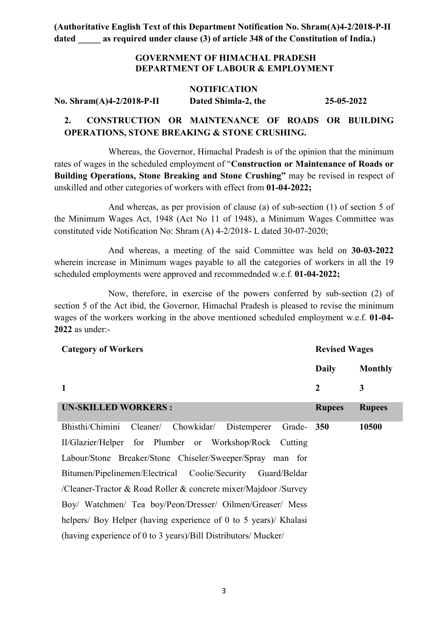### GOVERNMENT OF HIMACHAL PRADESH DEPARTMENT OF LABOUR & EMPLOYMENT

#### NOTIFICATION

No. Shram(A)4-2/2018-P-II Dated Shimla-2, the 25-05-2022

### 2. CONSTRUCTION OR MAINTENANCE OF ROADS OR BUILDING OPERATIONS, STONE BREAKING & STONE CRUSHING.

 Whereas, the Governor, Himachal Pradesh is of the opinion that the minimum rates of wages in the scheduled employment of "Construction or Maintenance of Roads or Building Operations, Stone Breaking and Stone Crushing" may be revised in respect of unskilled and other categories of workers with effect from 01-04-2022;

And whereas, as per provision of clause (a) of sub-section (1) of section 5 of the Minimum Wages Act, 1948 (Act No 11 of 1948), a Minimum Wages Committee was constituted vide Notification No: Shram (A) 4-2/2018- L dated 30-07-2020;

And whereas, a meeting of the said Committee was held on 30-03-2022 wherein increase in Minimum wages payable to all the categories of workers in all the 19 scheduled employments were approved and recommednded w.e.f. 01-04-2022;

Now, therefore, in exercise of the powers conferred by sub-section (2) of section 5 of the Act ibid, the Governor, Himachal Pradesh is pleased to revise the minimum wages of the workers working in the above mentioned scheduled employment w.e.f. 01-04- 2022 as under:-

| <b>Category of Workers</b>                                       | <b>Revised Wages</b> |                |
|------------------------------------------------------------------|----------------------|----------------|
|                                                                  | <b>Daily</b>         | <b>Monthly</b> |
| $\mathbf{1}$                                                     | $\boldsymbol{2}$     | 3              |
| <b>UN-SKILLED WORKERS:</b>                                       | <b>Rupees</b>        | <b>Rupees</b>  |
| Bhisthi/Chimini<br>Cleaner/ Chowkidar/ Distemperer<br>Grade- 350 |                      | 10500          |
| II/Glazier/Helper for Plumber or Workshop/Rock Cutting           |                      |                |
| Labour/Stone Breaker/Stone Chiseler/Sweeper/Spray man for        |                      |                |
| Bitumen/Pipelinemen/Electrical Coolie/Security Guard/Beldar      |                      |                |
| /Cleaner-Tractor & Road Roller & concrete mixer/Majdoor /Survey  |                      |                |
| Boy/ Watchmen/ Tea boy/Peon/Dresser/ Oilmen/Greaser/ Mess        |                      |                |
| helpers/ Boy Helper (having experience of 0 to 5 years)/ Khalasi |                      |                |
| (having experience of 0 to 3 years)/Bill Distributors/ Mucker/   |                      |                |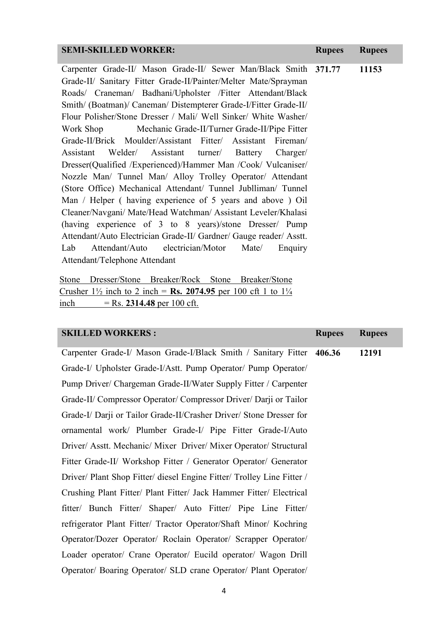| <b>SEMI-SKILLED WORKER:</b><br><b>Rupees</b><br><b>Rupees</b>             |
|---------------------------------------------------------------------------|
| Carpenter Grade-II/ Mason Grade-II/ Sewer Man/Black Smith 371.77<br>11153 |
| Grade-II/ Sanitary Fitter Grade-II/Painter/Melter Mate/Sprayman           |
| Roads/ Craneman/ Badhani/Upholster /Fitter Attendant/Black                |
| Smith/ (Boatman)/ Caneman/ Distempterer Grade-I/Fitter Grade-II/          |
| Flour Polisher/Stone Dresser / Mali/ Well Sinker/ White Washer/           |
| Work Shop Mechanic Grade-II/Turner Grade-II/Pipe Fitter                   |
| Grade-II/Brick Moulder/Assistant Fitter/ Assistant Fireman/               |
| Welder/ Assistant turner/ Battery Charger/<br>Assistant                   |
| Dresser(Qualified /Experienced)/Hammer Man /Cook/ Vulcaniser/             |
| Nozzle Man/ Tunnel Man/ Alloy Trolley Operator/ Attendant                 |
| (Store Office) Mechanical Attendant/ Tunnel Jubiliman/ Tunnel             |
| Man / Helper (having experience of 5 years and above ) Oil                |
| Cleaner/Navgani/ Mate/Head Watchman/ Assistant Leveler/Khalasi            |
| (having experience of 3 to 8 years)/stone Dresser/ Pump                   |
| Attendant/Auto Electrician Grade-II/ Gardner/ Gauge reader/ Asstt.        |
| Lab<br>Attendant/Auto electrician/Motor<br>Mate/<br>Enquiry               |
| Attendant/Telephone Attendant                                             |

Stone Dresser/Stone Breaker/Rock Stone Breaker/Stone Crusher  $1\frac{1}{2}$  inch to 2 inch = Rs. 2074.95 per 100 cft 1 to  $1\frac{1}{4}$ inch = Rs. 2314.48 per 100 cft.

| <b>SKILLED WORKERS:</b>                                                | <b>Rupees</b> | <b>Rupees</b> |
|------------------------------------------------------------------------|---------------|---------------|
| Carpenter Grade-I/ Mason Grade-I/Black Smith / Sanitary Fitter 406.36  |               | 12191         |
| Grade-I/ Upholster Grade-I/Astt. Pump Operator/ Pump Operator/         |               |               |
| Pump Driver/ Chargeman Grade-II/Water Supply Fitter / Carpenter        |               |               |
| Grade-II/ Compressor Operator/ Compressor Driver/ Darji or Tailor      |               |               |
| Grade-I/ Darji or Tailor Grade-II/Crasher Driver/ Stone Dresser for    |               |               |
| ornamental work/ Plumber Grade-I/ Pipe Fitter Grade-I/Auto             |               |               |
| Driver/ Asstt. Mechanic/ Mixer Driver/ Mixer Operator/ Structural      |               |               |
| Fitter Grade-II/ Workshop Fitter / Generator Operator/ Generator       |               |               |
| Driver/ Plant Shop Fitter/ diesel Engine Fitter/ Trolley Line Fitter / |               |               |
| Crushing Plant Fitter/ Plant Fitter/ Jack Hammer Fitter/ Electrical    |               |               |
| fitter/ Bunch Fitter/ Shaper/ Auto Fitter/ Pipe Line Fitter/           |               |               |
| refrigerator Plant Fitter/ Tractor Operator/Shaft Minor/ Kochring      |               |               |
| Operator/Dozer Operator/ Roclain Operator/ Scrapper Operator/          |               |               |
| Loader operator/ Crane Operator/ Eucild operator/ Wagon Drill          |               |               |
| Operator/ Boaring Operator/ SLD crane Operator/ Plant Operator/        |               |               |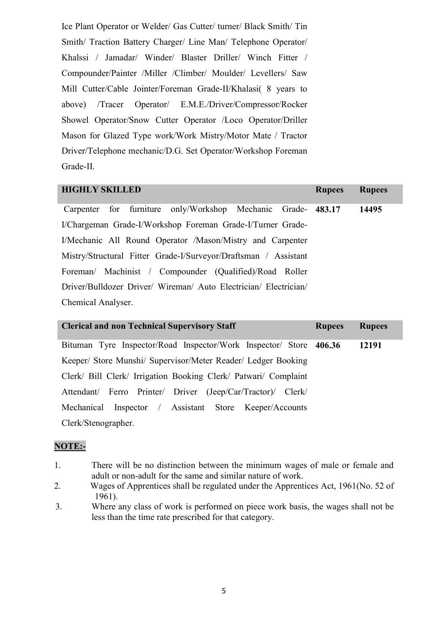Ice Plant Operator or Welder/ Gas Cutter/ turner/ Black Smith/ Tin Smith/ Traction Battery Charger/ Line Man/ Telephone Operator/ Khalssi / Jamadar/ Winder/ Blaster Driller/ Winch Fitter / Compounder/Painter /Miller /Climber/ Moulder/ Levellers/ Saw Mill Cutter/Cable Jointer/Foreman Grade-II/Khalasi( 8 years to above) /Tracer Operator/ E.M.E./Driver/Compressor/Rocker Showel Operator/Snow Cutter Operator /Loco Operator/Driller Mason for Glazed Type work/Work Mistry/Motor Mate / Tractor Driver/Telephone mechanic/D.G. Set Operator/Workshop Foreman Grade-II.

| <b>HIGHLY SKILLED</b>                                            | <b>Rupees</b> | <b>Rupees</b> |
|------------------------------------------------------------------|---------------|---------------|
| Carpenter for furniture only/Workshop Mechanic Grade- 483.17     |               | 14495         |
| I/Chargeman Grade-I/Workshop Foreman Grade-I/Turner Grade-       |               |               |
| I/Mechanic All Round Operator /Mason/Mistry and Carpenter        |               |               |
| Mistry/Structural Fitter Grade-I/Surveyor/Draftsman / Assistant  |               |               |
| Foreman/ Machinist / Compounder (Qualified)/Road Roller          |               |               |
| Driver/Bulldozer Driver/ Wireman/ Auto Electrician/ Electrician/ |               |               |
| Chemical Analyser.                                               |               |               |

| <b>Clerical and non Technical Supervisory Staff</b>                | <b>Rupees</b> | <b>Rupees</b> |
|--------------------------------------------------------------------|---------------|---------------|
| Bituman Tyre Inspector/Road Inspector/Work Inspector/ Store 406.36 |               | 12191         |
| Keeper/ Store Munshi/ Supervisor/Meter Reader/ Ledger Booking      |               |               |
| Clerk/ Bill Clerk/ Irrigation Booking Clerk/ Patwari/ Complaint    |               |               |
| Attendant/ Ferro Printer/ Driver (Jeep/Car/Tractor)/ Clerk/        |               |               |
| Mechanical Inspector / Assistant Store Keeper/Accounts             |               |               |
| Clerk/Stenographer.                                                |               |               |

#### NOTE:-

- 1. There will be no distinction between the minimum wages of male or female and adult or non-adult for the same and similar nature of work.
- 2. Wages of Apprentices shall be regulated under the Apprentices Act, 1961(No. 52 of 1961).
- 3. Where any class of work is performed on piece work basis, the wages shall not be less than the time rate prescribed for that category.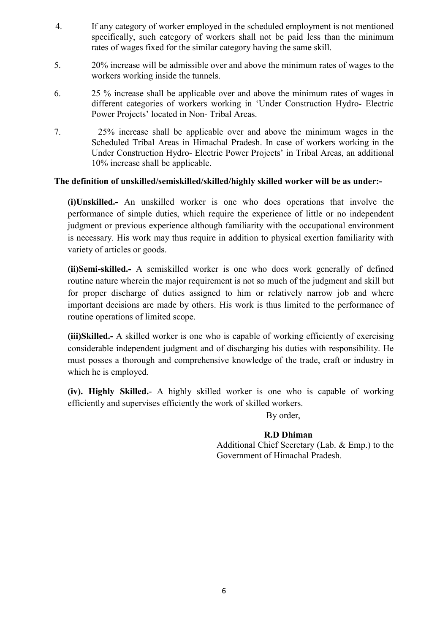- 4. If any category of worker employed in the scheduled employment is not mentioned specifically, such category of workers shall not be paid less than the minimum rates of wages fixed for the similar category having the same skill.
- 5. 20% increase will be admissible over and above the minimum rates of wages to the workers working inside the tunnels.
- 6. 25 % increase shall be applicable over and above the minimum rates of wages in different categories of workers working in 'Under Construction Hydro- Electric Power Projects' located in Non- Tribal Areas.
- 7. 25% increase shall be applicable over and above the minimum wages in the Scheduled Tribal Areas in Himachal Pradesh. In case of workers working in the Under Construction Hydro- Electric Power Projects' in Tribal Areas, an additional 10% increase shall be applicable.

### The definition of unskilled/semiskilled/skilled/highly skilled worker will be as under:-

(i)Unskilled.- An unskilled worker is one who does operations that involve the performance of simple duties, which require the experience of little or no independent judgment or previous experience although familiarity with the occupational environment is necessary. His work may thus require in addition to physical exertion familiarity with variety of articles or goods.

(ii)Semi-skilled.- A semiskilled worker is one who does work generally of defined routine nature wherein the major requirement is not so much of the judgment and skill but for proper discharge of duties assigned to him or relatively narrow job and where important decisions are made by others. His work is thus limited to the performance of routine operations of limited scope.

(iii)Skilled.- A skilled worker is one who is capable of working efficiently of exercising considerable independent judgment and of discharging his duties with responsibility. He must posses a thorough and comprehensive knowledge of the trade, craft or industry in which he is employed.

(iv). Highly Skilled.- A highly skilled worker is one who is capable of working efficiently and supervises efficiently the work of skilled workers.

#### By order,

#### R.D Dhiman

 Additional Chief Secretary (Lab. & Emp.) to the Government of Himachal Pradesh.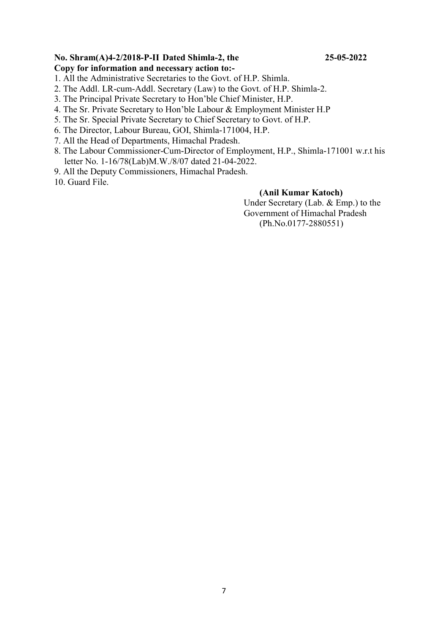### No. Shram(A)4-2/2018-P-II Dated Shimla-2, the 25-05-2022

#### Copy for information and necessary action to:-

- 1. All the Administrative Secretaries to the Govt. of H.P. Shimla.
- 2. The Addl. LR-cum-Addl. Secretary (Law) to the Govt. of H.P. Shimla-2.
- 3. The Principal Private Secretary to Hon'ble Chief Minister, H.P.
- 4. The Sr. Private Secretary to Hon'ble Labour & Employment Minister H.P
- 5. The Sr. Special Private Secretary to Chief Secretary to Govt. of H.P.
- 6. The Director, Labour Bureau, GOI, Shimla-171004, H.P.
- 7. All the Head of Departments, Himachal Pradesh.
- 8. The Labour Commissioner-Cum-Director of Employment, H.P., Shimla-171001 w.r.t his letter No. 1-16/78(Lab)M.W./8/07 dated 21-04-2022.
- 9. All the Deputy Commissioners, Himachal Pradesh.

10. Guard File.

#### (Anil Kumar Katoch)

Under Secretary (Lab. & Emp.) to the Government of Himachal Pradesh (Ph.No.0177-2880551)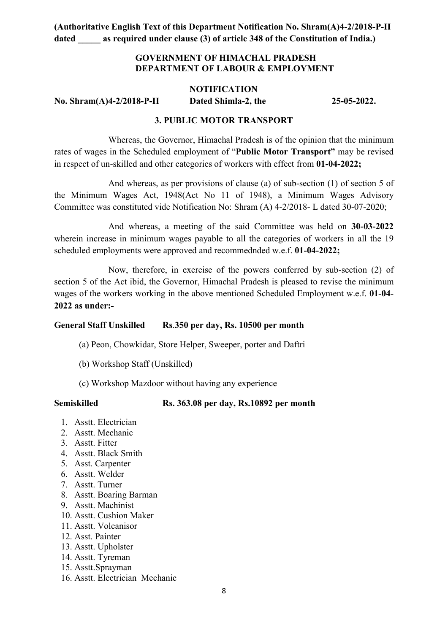### GOVERNMENT OF HIMACHAL PRADESH DEPARTMENT OF LABOUR & EMPLOYMENT

#### **NOTIFICATION**

# No. Shram(A)4-2/2018-P-II Dated Shimla-2, the 25-05-2022.

### 3. PUBLIC MOTOR TRANSPORT

Whereas, the Governor, Himachal Pradesh is of the opinion that the minimum rates of wages in the Scheduled employment of "Public Motor Transport" may be revised in respect of un-skilled and other categories of workers with effect from 01-04-2022;

And whereas, as per provisions of clause (a) of sub-section (1) of section 5 of the Minimum Wages Act, 1948(Act No 11 of 1948), a Minimum Wages Advisory Committee was constituted vide Notification No: Shram (A) 4-2/2018- L dated 30-07-2020;

And whereas, a meeting of the said Committee was held on 30-03-2022 wherein increase in minimum wages payable to all the categories of workers in all the 19 scheduled employments were approved and recommednded w.e.f. 01-04-2022;

Now, therefore, in exercise of the powers conferred by sub-section (2) of section 5 of the Act ibid, the Governor, Himachal Pradesh is pleased to revise the minimum wages of the workers working in the above mentioned Scheduled Employment w.e.f. 01-04- 2022 as under:-

#### General Staff Unskilled Rs.350 per day, Rs. 10500 per month

- (a) Peon, Chowkidar, Store Helper, Sweeper, porter and Daftri
- (b) Workshop Staff (Unskilled)
- (c) Workshop Mazdoor without having any experience

#### Semiskilled Rs. 363.08 per day, Rs.10892 per month

- 1. Asstt. Electrician
- 2. Asstt. Mechanic
- 3. Asstt. Fitter
- 4. Asstt. Black Smith
- 5. Asst. Carpenter
- 6. Asstt. Welder
- 7. Asstt. Turner
- 8. Asstt. Boaring Barman
- 9. Asstt. Machinist
- 10. Asstt. Cushion Maker
- 11. Asstt. Volcanisor
- 12. Asst. Painter
- 13. Asstt. Upholster
- 14. Asstt. Tyreman
- 15. Asstt.Sprayman
- 16. Asstt. Electrician Mechanic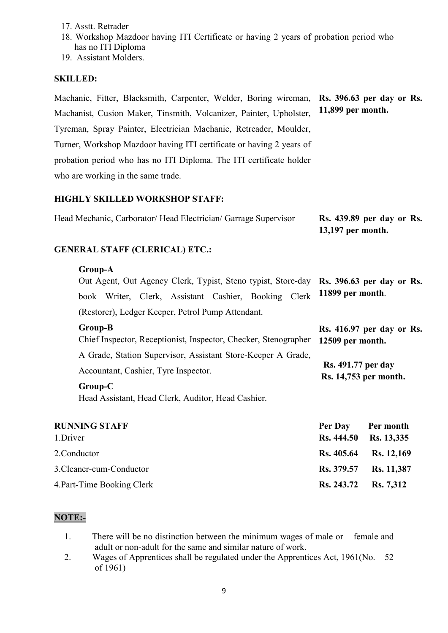- 17. Asstt. Retrader
- 18. Workshop Mazdoor having ITI Certificate or having 2 years of probation period who has no ITI Diploma
- 19. Assistant Molders.

### SKILLED:

Machanic, Fitter, Blacksmith, Carpenter, Welder, Boring wireman, Rs. 396.63 per day or Rs. Machanist, Cusion Maker, Tinsmith, Volcanizer, Painter, Upholster, Tyreman, Spray Painter, Electrician Machanic, Retreader, Moulder, Turner, Workshop Mazdoor having ITI certificate or having 2 years of probation period who has no ITI Diploma. The ITI certificate holder who are working in the same trade. 11,899 per month.

### HIGHLY SKILLED WORKSHOP STAFF:

| Head Mechanic, Carborator/Head Electrician/Garrage Supervisor | <b>Rs. 439.89 per day or Rs.</b> |
|---------------------------------------------------------------|----------------------------------|
|                                                               | $13,197$ per month.              |

### GENERAL STAFF (CLERICAL) ETC.:

#### Group-A

Out Agent, Out Agency Clerk, Typist, Steno typist, Store-day Rs. 396.63 per day or Rs. book Writer, Clerk, Assistant Cashier, Booking Clerk (Restorer), Ledger Keeper, Petrol Pump Attendant. 11899 per month.

Rs. 416.97 per day or Rs.

#### Group-B

Chief Inspector, Receptionist, Inspector, Checker, Stenographer A Grade, Station Supervisor, Assistant Store-Keeper A Grade, Accountant, Cashier, Tyre Inspector. 12509 per month. Rs. 491.77 per day Rs. 14,753 per month.

#### Group-C

Head Assistant, Head Clerk, Auditor, Head Cashier.

#### RUNNING STAFF Per Day Per month

| 1.Driver                   | Rs. 444.50 Rs. 13,335 |  |
|----------------------------|-----------------------|--|
| 2.Conductor                | Rs. 405.64 Rs. 12,169 |  |
| 3. Cleaner-cum-Conductor   | Rs. 379.57 Rs. 11,387 |  |
| 4. Part-Time Booking Clerk | Rs. 243.72 Rs. 7,312  |  |

### NOTE:-

- 1. There will be no distinction between the minimum wages of male or female and adult or non-adult for the same and similar nature of work.
- 2. Wages of Apprentices shall be regulated under the Apprentices Act, 1961(No. 52 of 1961)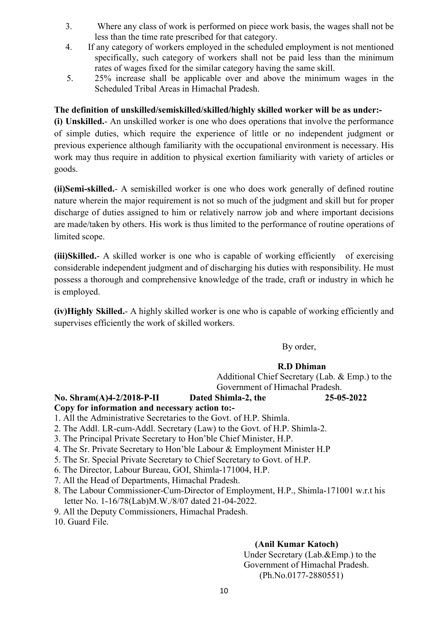- 3. Where any class of work is performed on piece work basis, the wages shall not be less than the time rate prescribed for that category.
- 4. If any category of workers employed in the scheduled employment is not mentioned specifically, such category of workers shall not be paid less than the minimum rates of wages fixed for the similar category having the same skill.
- 5. 25% increase shall be applicable over and above the minimum wages in the Scheduled Tribal Areas in Himachal Pradesh.

### The definition of unskilled/semiskilled/skilled/highly skilled worker will be as under:-

(i) Unskilled.- An unskilled worker is one who does operations that involve the performance of simple duties, which require the experience of little or no independent judgment or previous experience although familiarity with the occupational environment is necessary. His work may thus require in addition to physical exertion familiarity with variety of articles or goods.

(ii)Semi-skilled.- A semiskilled worker is one who does work generally of defined routine nature wherein the major requirement is not so much of the judgment and skill but for proper discharge of duties assigned to him or relatively narrow job and where important decisions are made/taken by others. His work is thus limited to the performance of routine operations of limited scope.

(iii)Skilled.- A skilled worker is one who is capable of working efficiently of exercising considerable independent judgment and of discharging his duties with responsibility. He must possess a thorough and comprehensive knowledge of the trade, craft or industry in which he is employed.

(iv)Highly Skilled.- A highly skilled worker is one who is capable of working efficiently and supervises efficiently the work of skilled workers.

By order,

### R.D Dhiman

 Additional Chief Secretary (Lab. & Emp.) to the Government of Himachal Pradesh.

### No. Shram(A)4-2/2018-P-II Dated Shimla-2, the 25-05-2022

Copy for information and necessary action to:-

- 1. All the Administrative Secretaries to the Govt. of H.P. Shimla.
- 2. The Addl. LR-cum-Addl. Secretary (Law) to the Govt. of H.P. Shimla-2.
- 3. The Principal Private Secretary to Hon'ble Chief Minister, H.P.
- 4. The Sr. Private Secretary to Hon'ble Labour & Employment Minister H.P
- 5. The Sr. Special Private Secretary to Chief Secretary to Govt. of H.P.
- 6. The Director, Labour Bureau, GOI, Shimla-171004, H.P.
- 7. All the Head of Departments, Himachal Pradesh.
- 8. The Labour Commissioner-Cum-Director of Employment, H.P., Shimla-171001 w.r.t his letter No. 1-16/78(Lab)M.W./8/07 dated 21-04-2022.
- 9. All the Deputy Commissioners, Himachal Pradesh.
- 10. Guard File.

### (Anil Kumar Katoch)

Under Secretary (Lab.&Emp.) to the Government of Himachal Pradesh. (Ph.No.0177-2880551)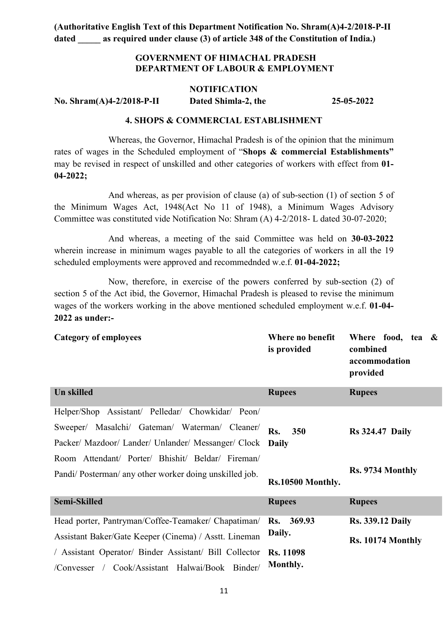### GOVERNMENT OF HIMACHAL PRADESH DEPARTMENT OF LABOUR & EMPLOYMENT

#### **NOTIFICATION**

No. Shram(A)4-2/2018-P-II Dated Shimla-2, the 25-05-2022

#### 4. SHOPS & COMMERCIAL ESTABLISHMENT

 Whereas, the Governor, Himachal Pradesh is of the opinion that the minimum rates of wages in the Scheduled employment of "Shops & commercial Establishments" may be revised in respect of unskilled and other categories of workers with effect from 01- 04-2022;

And whereas, as per provision of clause (a) of sub-section (1) of section 5 of the Minimum Wages Act, 1948(Act No 11 of 1948), a Minimum Wages Advisory Committee was constituted vide Notification No: Shram (A) 4-2/2018- L dated 30-07-2020;

And whereas, a meeting of the said Committee was held on 30-03-2022 wherein increase in minimum wages payable to all the categories of workers in all the 19 scheduled employments were approved and recommednded w.e.f. 01-04-2022;

Now, therefore, in exercise of the powers conferred by sub-section (2) of section 5 of the Act ibid, the Governor, Himachal Pradesh is pleased to revise the minimum wages of the workers working in the above mentioned scheduled employment w.e.f. 01-04- 2022 as under:-

| <b>Category of employees</b>                           | Where no benefit<br>is provided | Where food, tea &<br>combined<br>accommodation<br>provided |
|--------------------------------------------------------|---------------------------------|------------------------------------------------------------|
| <b>Un skilled</b>                                      | <b>Rupees</b>                   | <b>Rupees</b>                                              |
| Helper/Shop Assistant/ Pelledar/ Chowkidar/ Peon/      |                                 |                                                            |
| Sweeper/ Masalchi/ Gateman/ Waterman/ Cleaner/         | Rs.<br>350                      | <b>Rs</b> 324.47 Daily                                     |
| Packer/ Mazdoor/ Lander/ Unlander/ Messanger/ Clock    | <b>Daily</b>                    |                                                            |
| Room Attendant/ Porter/ Bhishit/ Beldar/ Fireman/      |                                 |                                                            |
| Pandi/Posterman/ any other worker doing unskilled job. |                                 | Rs. 9734 Monthly                                           |
|                                                        | Rs.10500 Monthly.               |                                                            |
| <b>Semi-Skilled</b>                                    | <b>Rupees</b>                   | <b>Rupees</b>                                              |
| Head porter, Pantryman/Coffee-Teamaker/ Chapatiman/    | Rs. 369.93                      | <b>Rs. 339.12 Daily</b>                                    |
| Assistant Baker/Gate Keeper (Cinema) / Asstt. Lineman  | Daily.                          | Rs. 10174 Monthly                                          |
| / Assistant Operator/ Binder Assistant/ Bill Collector | <b>Rs. 11098</b>                |                                                            |
| /Convesser / Cook/Assistant Halwai/Book Binder/        | Monthly.                        |                                                            |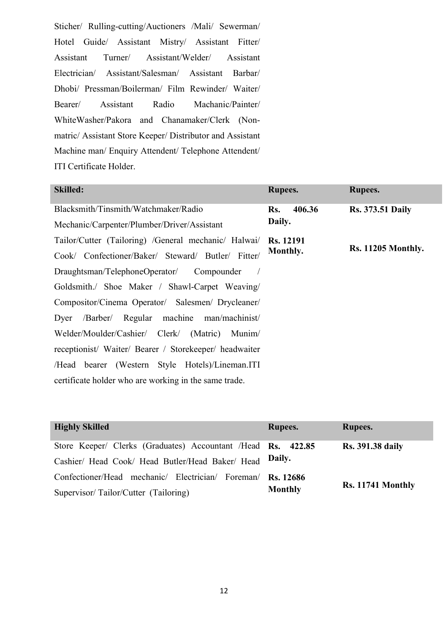Sticher/ Rulling-cutting/Auctioners /Mali/ Sewerman/ Hotel Guide/ Assistant Mistry/ Assistant Fitter/ Assistant Turner/ Assistant/Welder/ Assistant Electrician/ Assistant/Salesman/ Assistant Barbar/ Dhobi/ Pressman/Boilerman/ Film Rewinder/ Waiter/ Bearer/ Assistant Radio Machanic/Painter/ WhiteWasher/Pakora and Chanamaker/Clerk (Nonmatric/ Assistant Store Keeper/ Distributor and Assistant Machine man/ Enquiry Attendent/ Telephone Attendent/ ITI Certificate Holder.

| <b>Skilled:</b>                                        | <b>Rupees.</b>   | Rupees.                   |
|--------------------------------------------------------|------------------|---------------------------|
| Blacksmith/Tinsmith/Watchmaker/Radio                   | 406.36<br>Rs.    | <b>Rs. 373.51 Daily</b>   |
| Mechanic/Carpenter/Plumber/Driver/Assistant            | Daily.           |                           |
| Tailor/Cutter (Tailoring) /General mechanic/ Halwai/   | <b>Rs.</b> 12191 |                           |
| Cook/ Confectioner/Baker/ Steward/ Butler/ Fitter/     | Monthly.         | <b>Rs. 11205 Monthly.</b> |
| Draughtsman/TelephoneOperator/ Compounder              |                  |                           |
| Goldsmith./ Shoe Maker / Shawl-Carpet Weaving/         |                  |                           |
| Compositor/Cinema Operator/ Salesmen/ Drycleaner/      |                  |                           |
| /Barber/ Regular machine man/machinist/<br>Dyer        |                  |                           |
| Welder/Moulder/Cashier/ Clerk/ (Matric) Munim/         |                  |                           |
| receptionist/ Waiter/ Bearer / Storekeeper/ headwaiter |                  |                           |
| /Head bearer (Western Style Hotels)/Lineman.ITI        |                  |                           |
| certificate holder who are working in the same trade.  |                  |                           |

| <b>Highly Skilled</b>                                        | <b>Rupees.</b>   | Rupees.                 |
|--------------------------------------------------------------|------------------|-------------------------|
| Store Keeper/ Clerks (Graduates) Accountant /Head Rs. 422.85 |                  | <b>Rs.</b> 391.38 daily |
| Cashier/ Head Cook/ Head Butler/Head Baker/ Head             | Daily.           |                         |
| Confectioner/Head mechanic/ Electrician/ Foreman/            | <b>Rs.</b> 12686 |                         |
| Supervisor/Tailor/Cutter (Tailoring)                         | <b>Monthly</b>   | Rs. 11741 Monthly       |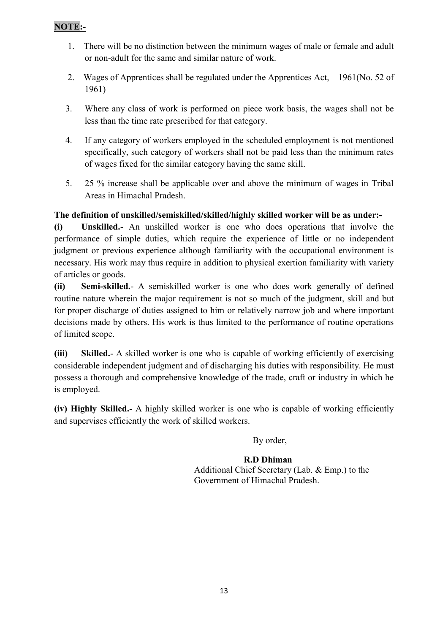- 1. There will be no distinction between the minimum wages of male or female and adult or non-adult for the same and similar nature of work.
- 2. Wages of Apprentices shall be regulated under the Apprentices Act, 1961(No. 52 of 1961)
- 3. Where any class of work is performed on piece work basis, the wages shall not be less than the time rate prescribed for that category.
- 4. If any category of workers employed in the scheduled employment is not mentioned specifically, such category of workers shall not be paid less than the minimum rates of wages fixed for the similar category having the same skill.
- 5. 25 % increase shall be applicable over and above the minimum of wages in Tribal Areas in Himachal Pradesh.

### The definition of unskilled/semiskilled/skilled/highly skilled worker will be as under:-

(i) Unskilled.- An unskilled worker is one who does operations that involve the performance of simple duties, which require the experience of little or no independent judgment or previous experience although familiarity with the occupational environment is necessary. His work may thus require in addition to physical exertion familiarity with variety of articles or goods.

(ii) Semi-skilled.- A semiskilled worker is one who does work generally of defined routine nature wherein the major requirement is not so much of the judgment, skill and but for proper discharge of duties assigned to him or relatively narrow job and where important decisions made by others. His work is thus limited to the performance of routine operations of limited scope.

(iii) Skilled.- A skilled worker is one who is capable of working efficiently of exercising considerable independent judgment and of discharging his duties with responsibility. He must possess a thorough and comprehensive knowledge of the trade, craft or industry in which he is employed.

(iv) Highly Skilled.- A highly skilled worker is one who is capable of working efficiently and supervises efficiently the work of skilled workers.

By order,

 R.D Dhiman Additional Chief Secretary (Lab. & Emp.) to the Government of Himachal Pradesh.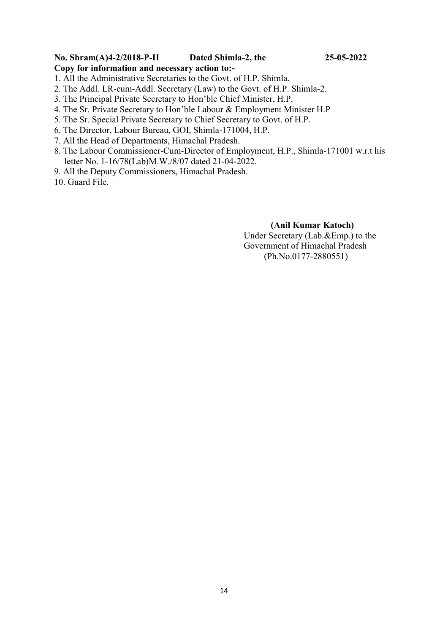### No. Shram(A)4-2/2018-P-II Dated Shimla-2, the 25-05-2022

### Copy for information and necessary action to:-

- 1. All the Administrative Secretaries to the Govt. of H.P. Shimla.
- 2. The Addl. LR-cum-Addl. Secretary (Law) to the Govt. of H.P. Shimla-2.
- 3. The Principal Private Secretary to Hon'ble Chief Minister, H.P.
- 4. The Sr. Private Secretary to Hon'ble Labour & Employment Minister H.P
- 5. The Sr. Special Private Secretary to Chief Secretary to Govt. of H.P.
- 6. The Director, Labour Bureau, GOI, Shimla-171004, H.P.
- 7. All the Head of Departments, Himachal Pradesh.
- 8. The Labour Commissioner-Cum-Director of Employment, H.P., Shimla-171001 w.r.t his letter No. 1-16/78(Lab)M.W./8/07 dated 21-04-2022.
- 9. All the Deputy Commissioners, Himachal Pradesh.

10. Guard File.

### (Anil Kumar Katoch) Under Secretary (Lab.&Emp.) to the Government of Himachal Pradesh (Ph.No.0177-2880551)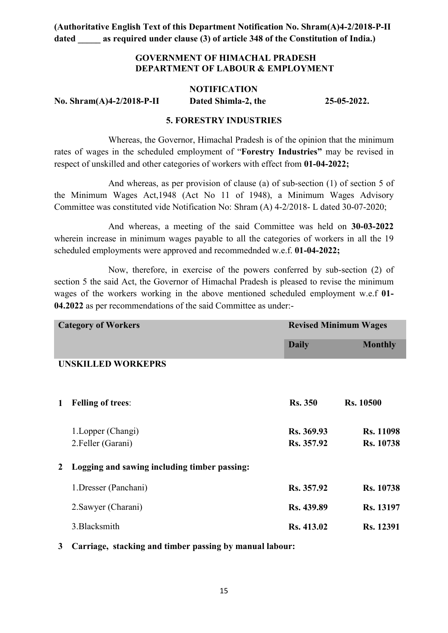### GOVERNMENT OF HIMACHAL PRADESH DEPARTMENT OF LABOUR & EMPLOYMENT

#### **NOTIFICATION**

No. Shram(A)4-2/2018-P-II Dated Shimla-2, the 25-05-2022.

### 5. FORESTRY INDUSTRIES

 Whereas, the Governor, Himachal Pradesh is of the opinion that the minimum rates of wages in the scheduled employment of "Forestry Industries" may be revised in respect of unskilled and other categories of workers with effect from 01-04-2022;

And whereas, as per provision of clause (a) of sub-section (1) of section 5 of the Minimum Wages Act,1948 (Act No 11 of 1948), a Minimum Wages Advisory Committee was constituted vide Notification No: Shram (A) 4-2/2018- L dated 30-07-2020;

And whereas, a meeting of the said Committee was held on 30-03-2022 wherein increase in minimum wages payable to all the categories of workers in all the 19 scheduled employments were approved and recommednded w.e.f. 01-04-2022;

Now, therefore, in exercise of the powers conferred by sub-section (2) of section 5 the said Act, the Governor of Himachal Pradesh is pleased to revise the minimum wages of the workers working in the above mentioned scheduled employment w.e.f 01-04.2022 as per recommendations of the said Committee as under:-

| <b>Category of Workers</b> |                                              | <b>Revised Minimum Wages</b> |                  |
|----------------------------|----------------------------------------------|------------------------------|------------------|
|                            |                                              | <b>Daily</b>                 | <b>Monthly</b>   |
|                            | <b>UNSKILLED WORKEPRS</b>                    |                              |                  |
|                            |                                              |                              |                  |
| 1                          | <b>Felling of trees:</b>                     | <b>Rs. 350</b>               | <b>Rs. 10500</b> |
|                            | 1. Lopper (Changi)                           | Rs. 369.93                   | <b>Rs. 11098</b> |
|                            | 2.Feller (Garani)                            | Rs. 357.92                   | <b>Rs. 10738</b> |
| $\overline{2}$             | Logging and sawing including timber passing: |                              |                  |
|                            | 1. Dresser (Panchani)                        | Rs. 357.92                   | <b>Rs. 10738</b> |
|                            | 2. Sawyer (Charani)                          | Rs. 439.89                   | Rs. 13197        |
|                            | 3. Blacksmith                                | Rs. 413.02                   | <b>Rs.</b> 12391 |

3 Carriage, stacking and timber passing by manual labour: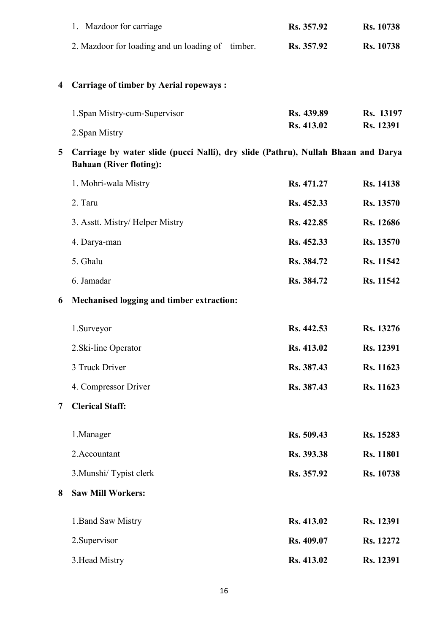|                | 1. Mazdoor for carriage                                                                                             | Rs. 357.92 | Rs. 10738        |
|----------------|---------------------------------------------------------------------------------------------------------------------|------------|------------------|
|                | 2. Mazdoor for loading and un loading of timber.                                                                    | Rs. 357.92 | Rs. 10738        |
|                |                                                                                                                     |            |                  |
| 4              | <b>Carriage of timber by Aerial ropeways:</b>                                                                       |            |                  |
|                | 1. Span Mistry-cum-Supervisor                                                                                       | Rs. 439.89 | Rs. 13197        |
|                | 2. Span Mistry                                                                                                      | Rs. 413.02 | Rs. 12391        |
| 5              | Carriage by water slide (pucci Nalli), dry slide (Pathru), Nullah Bhaan and Darya<br><b>Bahaan (River floting):</b> |            |                  |
|                | 1. Mohri-wala Mistry                                                                                                | Rs. 471.27 | Rs. 14138        |
|                | 2. Taru                                                                                                             | Rs. 452.33 | Rs. 13570        |
|                | 3. Asstt. Mistry/Helper Mistry                                                                                      | Rs. 422.85 | Rs. 12686        |
|                | 4. Darya-man                                                                                                        | Rs. 452.33 | Rs. 13570        |
|                | 5. Ghalu                                                                                                            | Rs. 384.72 | Rs. 11542        |
|                | 6. Jamadar                                                                                                          | Rs. 384.72 | Rs. 11542        |
|                |                                                                                                                     |            |                  |
| 6              | Mechanised logging and timber extraction:                                                                           |            |                  |
|                | 1.Surveyor                                                                                                          | Rs. 442.53 | Rs. 13276        |
|                | 2. Ski-line Operator                                                                                                | Rs. 413.02 | Rs. 12391        |
|                | 3 Truck Driver                                                                                                      | Rs. 387.43 | Rs. 11623        |
|                | 4. Compressor Driver                                                                                                | Rs. 387.43 | Rs. 11623        |
| $\overline{7}$ | <b>Clerical Staff:</b>                                                                                              |            |                  |
|                | 1.Manager                                                                                                           | Rs. 509.43 | Rs. 15283        |
|                | 2.Accountant                                                                                                        | Rs. 393.38 | <b>Rs. 11801</b> |
|                | 3. Munshi/ Typist clerk                                                                                             | Rs. 357.92 | Rs. 10738        |
| 8              | <b>Saw Mill Workers:</b>                                                                                            |            |                  |
|                | 1. Band Saw Mistry                                                                                                  | Rs. 413.02 | Rs. 12391        |
|                | 2. Supervisor                                                                                                       | Rs. 409.07 | Rs. 12272        |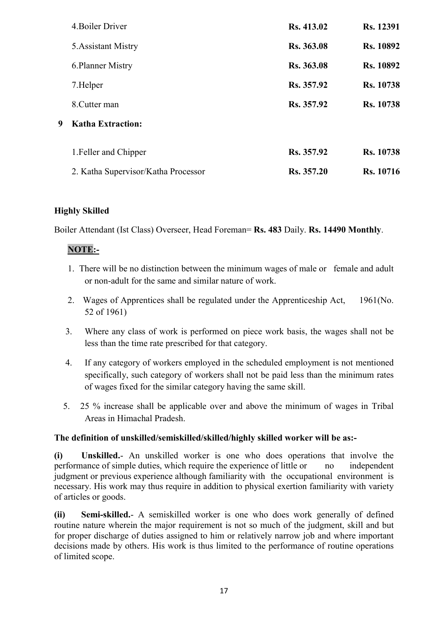|   | 4. Boiler Driver                    | Rs. 413.02 | Rs. 12391        |
|---|-------------------------------------|------------|------------------|
|   | 5. Assistant Mistry                 | Rs. 363.08 | <b>Rs. 10892</b> |
|   | 6. Planner Mistry                   | Rs. 363.08 | Rs. 10892        |
|   | 7. Helper                           | Rs. 357.92 | <b>Rs. 10738</b> |
|   | 8. Cutter man                       | Rs. 357.92 | <b>Rs.</b> 10738 |
| 9 | <b>Katha Extraction:</b>            |            |                  |
|   | 1. Feller and Chipper               | Rs. 357.92 | <b>Rs. 10738</b> |
|   | 2. Katha Supervisor/Katha Processor | Rs. 357.20 | <b>Rs.</b> 10716 |

### Highly Skilled

Boiler Attendant (Ist Class) Overseer, Head Foreman= Rs. 483 Daily. Rs. 14490 Monthly.

### NOTE:-

- 1. There will be no distinction between the minimum wages of male or female and adult or non-adult for the same and similar nature of work.
- 2. Wages of Apprentices shall be regulated under the Apprenticeship Act, 1961(No. 52 of 1961)
- 3. Where any class of work is performed on piece work basis, the wages shall not be less than the time rate prescribed for that category.
- 4. If any category of workers employed in the scheduled employment is not mentioned specifically, such category of workers shall not be paid less than the minimum rates of wages fixed for the similar category having the same skill.
- 5. 25 % increase shall be applicable over and above the minimum of wages in Tribal Areas in Himachal Pradesh.

### The definition of unskilled/semiskilled/skilled/highly skilled worker will be as:-

(i) Unskilled.- An unskilled worker is one who does operations that involve the performance of simple duties, which require the experience of little or no independent judgment or previous experience although familiarity with the occupational environment is necessary. His work may thus require in addition to physical exertion familiarity with variety of articles or goods.

(ii) Semi-skilled.- A semiskilled worker is one who does work generally of defined routine nature wherein the major requirement is not so much of the judgment, skill and but for proper discharge of duties assigned to him or relatively narrow job and where important decisions made by others. His work is thus limited to the performance of routine operations of limited scope.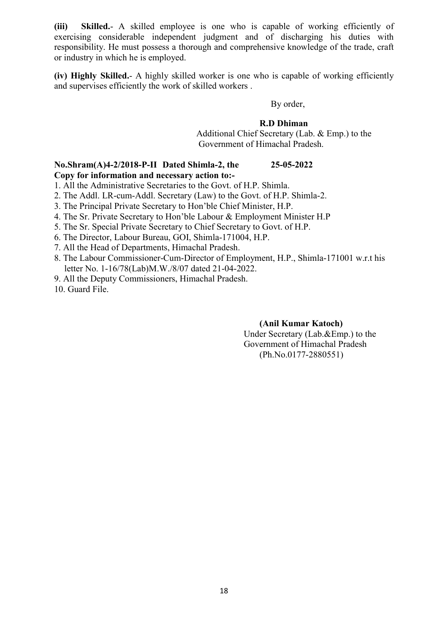(iii) Skilled.- A skilled employee is one who is capable of working efficiently of exercising considerable independent judgment and of discharging his duties with responsibility. He must possess a thorough and comprehensive knowledge of the trade, craft or industry in which he is employed.

(iv) Highly Skilled.- A highly skilled worker is one who is capable of working efficiently and supervises efficiently the work of skilled workers .

By order,

#### R.D Dhiman

 Additional Chief Secretary (Lab. & Emp.) to the Government of Himachal Pradesh.

### No.Shram(A)4-2/2018-P-II Dated Shimla-2, the 25-05-2022 Copy for information and necessary action to:-

1. All the Administrative Secretaries to the Govt. of H.P. Shimla.

2. The Addl. LR-cum-Addl. Secretary (Law) to the Govt. of H.P. Shimla-2.

3. The Principal Private Secretary to Hon'ble Chief Minister, H.P.

4. The Sr. Private Secretary to Hon'ble Labour & Employment Minister H.P

5. The Sr. Special Private Secretary to Chief Secretary to Govt. of H.P.

- 6. The Director, Labour Bureau, GOI, Shimla-171004, H.P.
- 7. All the Head of Departments, Himachal Pradesh.
- 8. The Labour Commissioner-Cum-Director of Employment, H.P., Shimla-171001 w.r.t his letter No. 1-16/78(Lab)M.W./8/07 dated 21-04-2022.
- 9. All the Deputy Commissioners, Himachal Pradesh.

10. Guard File.

### (Anil Kumar Katoch)

Under Secretary (Lab.&Emp.) to the Government of Himachal Pradesh (Ph.No.0177-2880551)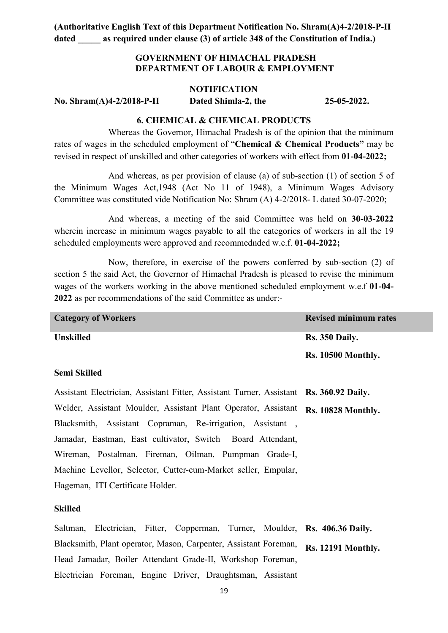### GOVERNMENT OF HIMACHAL PRADESH DEPARTMENT OF LABOUR & EMPLOYMENT

#### NOTIFICATION

No. Shram(A)4-2/2018-P-II Dated Shimla-2, the 25-05-2022.

#### 6. CHEMICAL & CHEMICAL PRODUCTS

Whereas the Governor, Himachal Pradesh is of the opinion that the minimum rates of wages in the scheduled employment of "Chemical & Chemical Products" may be revised in respect of unskilled and other categories of workers with effect from 01-04-2022;

And whereas, as per provision of clause (a) of sub-section (1) of section 5 of the Minimum Wages Act,1948 (Act No 11 of 1948), a Minimum Wages Advisory Committee was constituted vide Notification No: Shram (A) 4-2/2018- L dated 30-07-2020;

And whereas, a meeting of the said Committee was held on 30-03-2022 wherein increase in minimum wages payable to all the categories of workers in all the 19 scheduled employments were approved and recommednded w.e.f. 01-04-2022;

Now, therefore, in exercise of the powers conferred by sub-section (2) of section 5 the said Act, the Governor of Himachal Pradesh is pleased to revise the minimum wages of the workers working in the above mentioned scheduled employment w.e.f 01-04- 2022 as per recommendations of the said Committee as under:-

| <b>Category of Workers</b> | <b>Revised minimum rates</b> |
|----------------------------|------------------------------|
| <b>Unskilled</b>           | <b>Rs. 350 Daily.</b>        |
|                            | <b>Rs. 10500 Monthly.</b>    |

#### Semi Skilled

Assistant Electrician, Assistant Fitter, Assistant Turner, Assistant Rs. 360.92 Daily. Welder, Assistant Moulder, Assistant Plant Operator, Assistant Rs. 10828 Monthly. Blacksmith, Assistant Copraman, Re-irrigation, Assistant , Jamadar, Eastman, East cultivator, Switch Board Attendant, Wireman, Postalman, Fireman, Oilman, Pumpman Grade-I, Machine Levellor, Selector, Cutter-cum-Market seller, Empular, Hageman, ITI Certificate Holder.

#### Skilled

Saltman, Electrician, Fitter, Copperman, Turner, Moulder, Rs. 406.36 Daily. Blacksmith, Plant operator, Mason, Carpenter, Assistant Foreman, Rs. 12191 Monthly. Head Jamadar, Boiler Attendant Grade-II, Workshop Foreman, Electrician Foreman, Engine Driver, Draughtsman, Assistant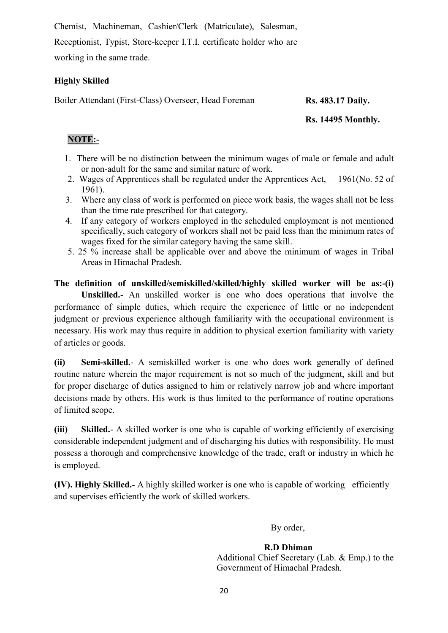Chemist, Machineman, Cashier/Clerk (Matriculate), Salesman,

Receptionist, Typist, Store-keeper I.T.I. certificate holder who are working in the same trade.

### Highly Skilled

Boiler Attendant (First-Class) Overseer, Head Foreman Rs. 483.17 Daily.

### Rs. 14495 Monthly.

### NOTE:-

- 1. There will be no distinction between the minimum wages of male or female and adult or non-adult for the same and similar nature of work.
- 2. Wages of Apprentices shall be regulated under the Apprentices Act, 1961(No. 52 of 1961).
- 3. Where any class of work is performed on piece work basis, the wages shall not be less than the time rate prescribed for that category.
- 4. If any category of workers employed in the scheduled employment is not mentioned specifically, such category of workers shall not be paid less than the minimum rates of wages fixed for the similar category having the same skill.
- 5. 25 % increase shall be applicable over and above the minimum of wages in Tribal Areas in Himachal Pradesh.

The definition of unskilled/semiskilled/skilled/highly skilled worker will be as:-(i) Unskilled.- An unskilled worker is one who does operations that involve the performance of simple duties, which require the experience of little or no independent judgment or previous experience although familiarity with the occupational environment is necessary. His work may thus require in addition to physical exertion familiarity with variety of articles or goods.

(ii) Semi-skilled.- A semiskilled worker is one who does work generally of defined routine nature wherein the major requirement is not so much of the judgment, skill and but for proper discharge of duties assigned to him or relatively narrow job and where important decisions made by others. His work is thus limited to the performance of routine operations of limited scope.

(iii) Skilled.- A skilled worker is one who is capable of working efficiently of exercising considerable independent judgment and of discharging his duties with responsibility. He must possess a thorough and comprehensive knowledge of the trade, craft or industry in which he is employed.

(IV). Highly Skilled.- A highly skilled worker is one who is capable of working efficiently and supervises efficiently the work of skilled workers.

By order,

### R.D Dhiman

 Additional Chief Secretary (Lab. & Emp.) to the Government of Himachal Pradesh.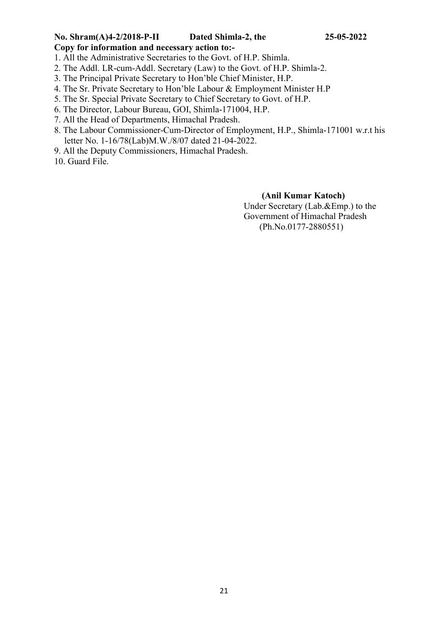### No. Shram(A)4-2/2018-P-II Dated Shimla-2, the 25-05-2022 Copy for information and necessary action to:-

- 1. All the Administrative Secretaries to the Govt. of H.P. Shimla.
- 2. The Addl. LR-cum-Addl. Secretary (Law) to the Govt. of H.P. Shimla-2.
- 3. The Principal Private Secretary to Hon'ble Chief Minister, H.P.
- 4. The Sr. Private Secretary to Hon'ble Labour & Employment Minister H.P
- 5. The Sr. Special Private Secretary to Chief Secretary to Govt. of H.P.
- 6. The Director, Labour Bureau, GOI, Shimla-171004, H.P.
- 7. All the Head of Departments, Himachal Pradesh.
- 8. The Labour Commissioner-Cum-Director of Employment, H.P., Shimla-171001 w.r.t his letter No. 1-16/78(Lab)M.W./8/07 dated 21-04-2022.
- 9. All the Deputy Commissioners, Himachal Pradesh.
- 10. Guard File.

#### (Anil Kumar Katoch)

Under Secretary (Lab.&Emp.) to the Government of Himachal Pradesh (Ph.No.0177-2880551)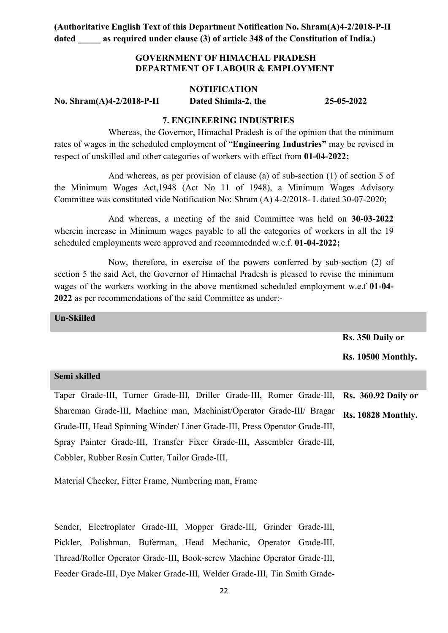### GOVERNMENT OF HIMACHAL PRADESH DEPARTMENT OF LABOUR & EMPLOYMENT

#### NOTIFICATION

No. Shram(A)4-2/2018-P-II Dated Shimla-2, the 25-05-2022

#### 7. ENGINEERING INDUSTRIES

Whereas, the Governor, Himachal Pradesh is of the opinion that the minimum rates of wages in the scheduled employment of "Engineering Industries" may be revised in respect of unskilled and other categories of workers with effect from 01-04-2022;

And whereas, as per provision of clause (a) of sub-section (1) of section 5 of the Minimum Wages Act,1948 (Act No 11 of 1948), a Minimum Wages Advisory Committee was constituted vide Notification No: Shram (A) 4-2/2018- L dated 30-07-2020;

And whereas, a meeting of the said Committee was held on 30-03-2022 wherein increase in Minimum wages payable to all the categories of workers in all the 19 scheduled employments were approved and recommednded w.e.f. 01-04-2022;

Now, therefore, in exercise of the powers conferred by sub-section (2) of section 5 the said Act, the Governor of Himachal Pradesh is pleased to revise the minimum wages of the workers working in the above mentioned scheduled employment w.e.f 01-04- 2022 as per recommendations of the said Committee as under:-

Un-Skilled

Rs. 350 Daily or

Rs. 10500 Monthly.

#### Semi skilled

Taper Grade-III, Turner Grade-III, Driller Grade-III, Romer Grade-III, Shareman Grade-III, Machine man, Machinist/Operator Grade-III/ Bragar Grade-III, Head Spinning Winder/ Liner Grade-III, Press Operator Grade-III, Spray Painter Grade-III, Transfer Fixer Grade-III, Assembler Grade-III, Cobbler, Rubber Rosin Cutter, Tailor Grade-III, Rs. 360.92 Daily or Rs. 10828 Monthly.

Material Checker, Fitter Frame, Numbering man, Frame

Sender, Electroplater Grade-III, Mopper Grade-III, Grinder Grade-III, Pickler, Polishman, Buferman, Head Mechanic, Operator Grade-III, Thread/Roller Operator Grade-III, Book-screw Machine Operator Grade-III, Feeder Grade-III, Dye Maker Grade-III, Welder Grade-III, Tin Smith Grade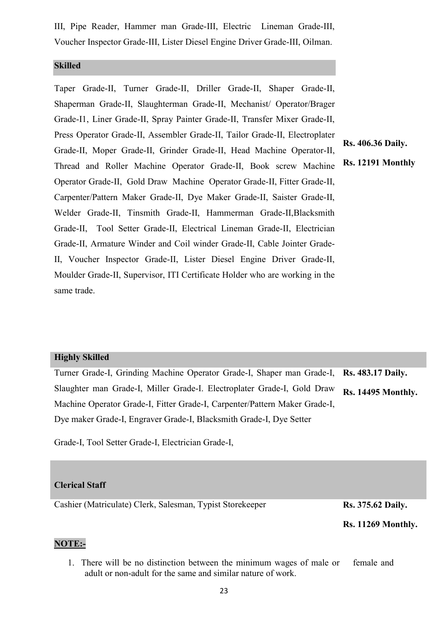III, Pipe Reader, Hammer man Grade-III, Electric Lineman Grade-III, Voucher Inspector Grade-III, Lister Diesel Engine Driver Grade-III, Oilman.

### Skilled

Taper Grade-II, Turner Grade-II, Driller Grade-II, Shaper Grade-II, Shaperman Grade-II, Slaughterman Grade-II, Mechanist/ Operator/Brager Grade-I1, Liner Grade-II, Spray Painter Grade-II, Transfer Mixer Grade-II, Press Operator Grade-II, Assembler Grade-II, Tailor Grade-II, Electroplater Grade-II, Moper Grade-II, Grinder Grade-II, Head Machine Operator-II, Thread and Roller Machine Operator Grade-II, Book screw Machine Operator Grade-II, Gold Draw Machine Operator Grade-II, Fitter Grade-II, Carpenter/Pattern Maker Grade-II, Dye Maker Grade-II, Saister Grade-II, Welder Grade-II, Tinsmith Grade-II, Hammerman Grade-II,Blacksmith Grade-II, Tool Setter Grade-II, Electrical Lineman Grade-II, Electrician Grade-II, Armature Winder and Coil winder Grade-II, Cable Jointer Grade-II, Voucher Inspector Grade-II, Lister Diesel Engine Driver Grade-II, Moulder Grade-II, Supervisor, ITI Certificate Holder who are working in the same trade.

Rs. 406.36 Daily.

#### Rs. 12191 Monthly

#### Highly Skilled

Turner Grade-I, Grinding Machine Operator Grade-I, Shaper man Grade-I, Slaughter man Grade-I, Miller Grade-I. Electroplater Grade-I, Gold Draw Machine Operator Grade-I, Fitter Grade-I, Carpenter/Pattern Maker Grade-I, Dye maker Grade-I, Engraver Grade-I, Blacksmith Grade-I, Dye Setter Rs. 483.17 Daily. Rs. 14495 Monthly.

Grade-I, Tool Setter Grade-I, Electrician Grade-I,

#### Clerical Staff

Cashier (Matriculate) Clerk, Salesman, Typist Storekeeper Rs. 375.62 Daily.

Rs. 11269 Monthly.

### NOTE:-

1. There will be no distinction between the minimum wages of male or female and adult or non-adult for the same and similar nature of work.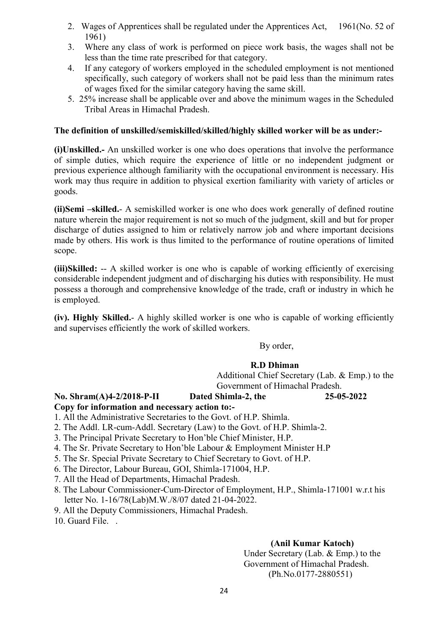- 2. Wages of Apprentices shall be regulated under the Apprentices Act, 1961(No. 52 of 1961)
- 3. Where any class of work is performed on piece work basis, the wages shall not be less than the time rate prescribed for that category.
- 4. If any category of workers employed in the scheduled employment is not mentioned specifically, such category of workers shall not be paid less than the minimum rates of wages fixed for the similar category having the same skill.
- 5. 25% increase shall be applicable over and above the minimum wages in the Scheduled Tribal Areas in Himachal Pradesh.

### The definition of unskilled/semiskilled/skilled/highly skilled worker will be as under:-

(i)Unskilled.- An unskilled worker is one who does operations that involve the performance of simple duties, which require the experience of little or no independent judgment or previous experience although familiarity with the occupational environment is necessary. His work may thus require in addition to physical exertion familiarity with variety of articles or goods.

(ii)Semi –skilled.- A semiskilled worker is one who does work generally of defined routine nature wherein the major requirement is not so much of the judgment, skill and but for proper discharge of duties assigned to him or relatively narrow job and where important decisions made by others. His work is thus limited to the performance of routine operations of limited scope.

(iii)Skilled: -- A skilled worker is one who is capable of working efficiently of exercising considerable independent judgment and of discharging his duties with responsibility. He must possess a thorough and comprehensive knowledge of the trade, craft or industry in which he is employed.

(iv). Highly Skilled.- A highly skilled worker is one who is capable of working efficiently and supervises efficiently the work of skilled workers.

### By order,

### R.D Dhiman

 Additional Chief Secretary (Lab. & Emp.) to the Government of Himachal Pradesh.

### No. Shram(A)4-2/2018-P-II Dated Shimla-2, the 25-05-2022

### Copy for information and necessary action to:-

- 1. All the Administrative Secretaries to the Govt. of H.P. Shimla.
- 2. The Addl. LR-cum-Addl. Secretary (Law) to the Govt. of H.P. Shimla-2.
- 3. The Principal Private Secretary to Hon'ble Chief Minister, H.P.
- 4. The Sr. Private Secretary to Hon'ble Labour & Employment Minister H.P
- 5. The Sr. Special Private Secretary to Chief Secretary to Govt. of H.P.
- 6. The Director, Labour Bureau, GOI, Shimla-171004, H.P.
- 7. All the Head of Departments, Himachal Pradesh.
- 8. The Labour Commissioner-Cum-Director of Employment, H.P., Shimla-171001 w.r.t his letter No. 1-16/78(Lab)M.W./8/07 dated 21-04-2022.
- 9. All the Deputy Commissioners, Himachal Pradesh.

10. Guard File. .

### (Anil Kumar Katoch)

Under Secretary (Lab. & Emp.) to the Government of Himachal Pradesh. (Ph.No.0177-2880551)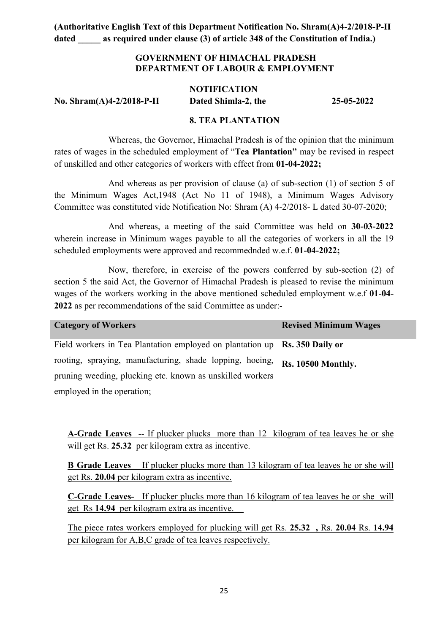### GOVERNMENT OF HIMACHAL PRADESH DEPARTMENT OF LABOUR & EMPLOYMENT

## **NOTIFICATION** No. Shram(A)4-2/2018-P-II Dated Shimla-2, the 25-05-2022

### 8. TEA PLANTATION

Whereas, the Governor, Himachal Pradesh is of the opinion that the minimum rates of wages in the scheduled employment of "Tea Plantation" may be revised in respect of unskilled and other categories of workers with effect from 01-04-2022;

And whereas as per provision of clause (a) of sub-section (1) of section 5 of the Minimum Wages Act,1948 (Act No 11 of 1948), a Minimum Wages Advisory Committee was constituted vide Notification No: Shram (A) 4-2/2018- L dated 30-07-2020;

And whereas, a meeting of the said Committee was held on 30-03-2022 wherein increase in Minimum wages payable to all the categories of workers in all the 19 scheduled employments were approved and recommednded w.e.f. 01-04-2022;

Now, therefore, in exercise of the powers conferred by sub-section (2) of section 5 the said Act, the Governor of Himachal Pradesh is pleased to revise the minimum wages of the workers working in the above mentioned scheduled employment w.e.f 01-04- 2022 as per recommendations of the said Committee as under:-

| <b>Category of Workers</b>                                                 | <b>Revised Minimum Wages</b> |
|----------------------------------------------------------------------------|------------------------------|
| Field workers in Tea Plantation employed on plantation up Rs. 350 Daily or |                              |
| rooting, spraying, manufacturing, shade lopping, hoeing,                   | <b>Rs. 10500 Monthly.</b>    |
| pruning weeding, plucking etc. known as unskilled workers                  |                              |
| employed in the operation;                                                 |                              |

A-Grade Leaves -- If plucker plucks more than 12 kilogram of tea leaves he or she will get Rs. 25.32 per kilogram extra as incentive.

B Grade Leaves If plucker plucks more than 13 kilogram of tea leaves he or she will get Rs. 20.04 per kilogram extra as incentive.

C-Grade Leaves- If plucker plucks more than 16 kilogram of tea leaves he or she will get Rs 14.94 per kilogram extra as incentive.

The piece rates workers employed for plucking will get Rs. 25.32 , Rs. 20.04 Rs. 14.94 per kilogram for A,B,C grade of tea leaves respectively.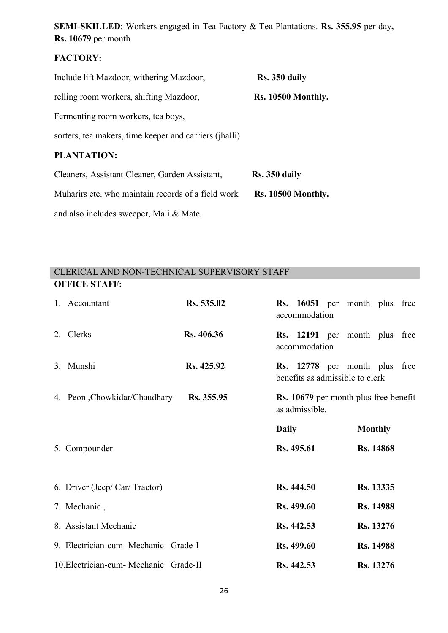SEMI-SKILLED: Workers engaged in Tea Factory & Tea Plantations. Rs. 355.95 per day, Rs. 10679 per month

### FACTORY:

| Include lift Mazdoor, withering Mazdoor,               | Rs. 350 daily             |  |  |  |
|--------------------------------------------------------|---------------------------|--|--|--|
| relling room workers, shifting Mazdoor,                | <b>Rs. 10500 Monthly.</b> |  |  |  |
| Fermenting room workers, tea boys,                     |                           |  |  |  |
| sorters, tea makers, time keeper and carriers (jhalli) |                           |  |  |  |
| <b>PLANTATION:</b>                                     |                           |  |  |  |
| Cleaners, Assistant Cleaner, Garden Assistant,         | Rs. 350 daily             |  |  |  |
| Muharirs etc. who maintain records of a field work     | <b>Rs. 10500 Monthly.</b> |  |  |  |
|                                                        |                           |  |  |  |

and also includes sweeper, Mali & Mate.

### CLERICAL AND NON-TECHNICAL SUPERVISORY STAFF OFFICE STAFF:

| 1. Accountant                          | Rs. 535.02 |                   | accommodation  | Rs. 16051 per month plus free                                    |                  |  |
|----------------------------------------|------------|-------------------|----------------|------------------------------------------------------------------|------------------|--|
| 2. Clerks                              | Rs. 406.36 |                   | accommodation  | Rs. 12191 per month plus free                                    |                  |  |
| 3. Munshi                              | Rs. 425.92 |                   |                | Rs. 12778 per month plus free<br>benefits as admissible to clerk |                  |  |
| 4. Peon , Chowkidar/Chaudhary          | Rs. 355.95 |                   | as admissible. | <b>Rs. 10679</b> per month plus free benefit                     |                  |  |
|                                        |            | <b>Daily</b>      |                |                                                                  | <b>Monthly</b>   |  |
| 5. Compounder                          |            | Rs. 495.61        |                |                                                                  | <b>Rs. 14868</b> |  |
| 6. Driver (Jeep/ Car/ Tractor)         |            | Rs. 444.50        |                |                                                                  | Rs. 13335        |  |
| 7. Mechanic,                           |            | Rs. 499.60        |                |                                                                  | <b>Rs. 14988</b> |  |
| 8. Assistant Mechanic                  |            | Rs. 442.53        |                |                                                                  | Rs. 13276        |  |
| 9. Electrician-cum- Mechanic Grade-I   |            | <b>Rs. 499.60</b> |                |                                                                  | Rs. 14988        |  |
| 10. Electrician-cum- Mechanic Grade-II |            | Rs. 442.53        |                |                                                                  | <b>Rs.</b> 13276 |  |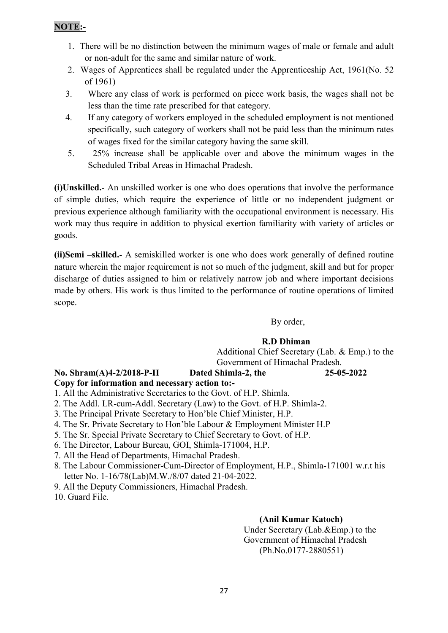### NOTE:-

- 1. There will be no distinction between the minimum wages of male or female and adult or non-adult for the same and similar nature of work.
- 2. Wages of Apprentices shall be regulated under the Apprenticeship Act, 1961(No. 52 of 1961)
- 3. Where any class of work is performed on piece work basis, the wages shall not be less than the time rate prescribed for that category.
- 4. If any category of workers employed in the scheduled employment is not mentioned specifically, such category of workers shall not be paid less than the minimum rates of wages fixed for the similar category having the same skill.
- 5. 25% increase shall be applicable over and above the minimum wages in the Scheduled Tribal Areas in Himachal Pradesh.

(i)Unskilled.- An unskilled worker is one who does operations that involve the performance of simple duties, which require the experience of little or no independent judgment or previous experience although familiarity with the occupational environment is necessary. His work may thus require in addition to physical exertion familiarity with variety of articles or goods.

(ii)Semi –skilled.- A semiskilled worker is one who does work generally of defined routine nature wherein the major requirement is not so much of the judgment, skill and but for proper discharge of duties assigned to him or relatively narrow job and where important decisions made by others. His work is thus limited to the performance of routine operations of limited scope.

# By order,

### R.D Dhiman

 Additional Chief Secretary (Lab. & Emp.) to the Government of Himachal Pradesh.

### No. Shram(A)4-2/2018-P-II Dated Shimla-2, the 25-05-2022

### Copy for information and necessary action to:-

1. All the Administrative Secretaries to the Govt. of H.P. Shimla.

- 2. The Addl. LR-cum-Addl. Secretary (Law) to the Govt. of H.P. Shimla-2.
- 3. The Principal Private Secretary to Hon'ble Chief Minister, H.P.
- 4. The Sr. Private Secretary to Hon'ble Labour & Employment Minister H.P
- 5. The Sr. Special Private Secretary to Chief Secretary to Govt. of H.P.
- 6. The Director, Labour Bureau, GOI, Shimla-171004, H.P.
- 7. All the Head of Departments, Himachal Pradesh.
- 8. The Labour Commissioner-Cum-Director of Employment, H.P., Shimla-171001 w.r.t his letter No. 1-16/78(Lab)M.W./8/07 dated 21-04-2022.
- 9. All the Deputy Commissioners, Himachal Pradesh.

10. Guard File.

### (Anil Kumar Katoch)

Under Secretary (Lab.&Emp.) to the Government of Himachal Pradesh (Ph.No.0177-2880551)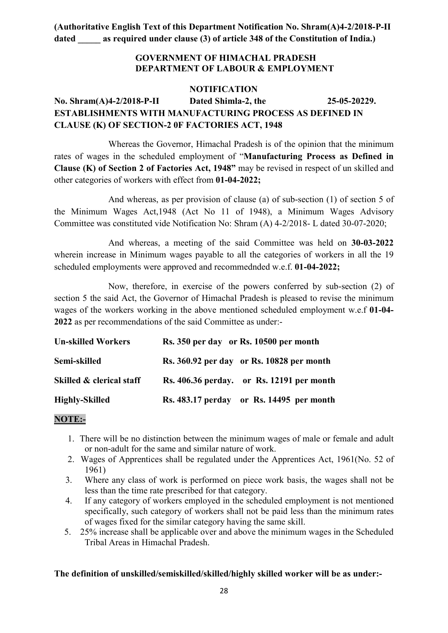### GOVERNMENT OF HIMACHAL PRADESH DEPARTMENT OF LABOUR & EMPLOYMENT

### NOTIFICATION No. Shram(A)4-2/2018-P-II Dated Shimla-2, the 25-05-20229. ESTABLISHMENTS WITH MANUFACTURING PROCESS AS DEFINED IN CLAUSE (K) OF SECTION-2 0F FACTORIES ACT, 1948

Whereas the Governor, Himachal Pradesh is of the opinion that the minimum rates of wages in the scheduled employment of "Manufacturing Process as Defined in Clause (K) of Section 2 of Factories Act, 1948" may be revised in respect of un skilled and other categories of workers with effect from 01-04-2022;

And whereas, as per provision of clause (a) of sub-section (1) of section 5 of the Minimum Wages Act,1948 (Act No 11 of 1948), a Minimum Wages Advisory Committee was constituted vide Notification No: Shram (A) 4-2/2018- L dated 30-07-2020;

And whereas, a meeting of the said Committee was held on 30-03-2022 wherein increase in Minimum wages payable to all the categories of workers in all the 19 scheduled employments were approved and recommednded w.e.f. 01-04-2022;

Now, therefore, in exercise of the powers conferred by sub-section (2) of section 5 the said Act, the Governor of Himachal Pradesh is pleased to revise the minimum wages of the workers working in the above mentioned scheduled employment w.e.f 01-04- 2022 as per recommendations of the said Committee as under:-

| <b>Un-skilled Workers</b> | Rs. 350 per day or Rs. 10500 per month    |
|---------------------------|-------------------------------------------|
| Semi-skilled              | Rs. 360.92 per day or Rs. 10828 per month |
| Skilled & clerical staff  | Rs. 406.36 perday. or Rs. 12191 per month |
| <b>Highly-Skilled</b>     | Rs. 483.17 perday or Rs. 14495 per month  |

### NOTE:-

- 1. There will be no distinction between the minimum wages of male or female and adult or non-adult for the same and similar nature of work.
- 2. Wages of Apprentices shall be regulated under the Apprentices Act, 1961(No. 52 of 1961)
- 3. Where any class of work is performed on piece work basis, the wages shall not be less than the time rate prescribed for that category.
- 4. If any category of workers employed in the scheduled employment is not mentioned specifically, such category of workers shall not be paid less than the minimum rates of wages fixed for the similar category having the same skill.
- 5. 25% increase shall be applicable over and above the minimum wages in the Scheduled Tribal Areas in Himachal Pradesh.

### The definition of unskilled/semiskilled/skilled/highly skilled worker will be as under:-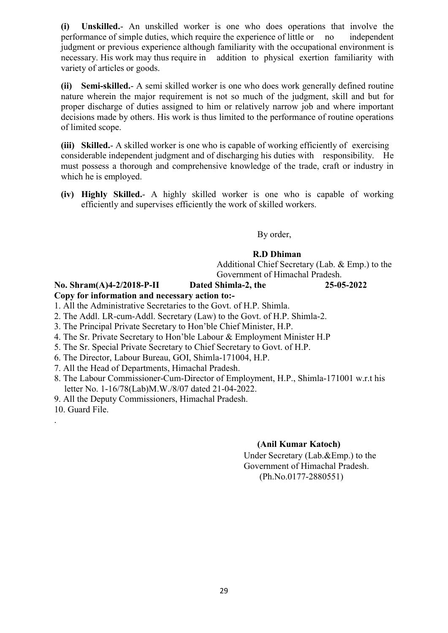(i) Unskilled.- An unskilled worker is one who does operations that involve the performance of simple duties, which require the experience of little or no independent judgment or previous experience although familiarity with the occupational environment is necessary. His work may thus require in addition to physical exertion familiarity with variety of articles or goods.

(ii) Semi-skilled.- A semi skilled worker is one who does work generally defined routine nature wherein the major requirement is not so much of the judgment, skill and but for proper discharge of duties assigned to him or relatively narrow job and where important decisions made by others. His work is thus limited to the performance of routine operations of limited scope.

(iii) Skilled.- A skilled worker is one who is capable of working efficiently of exercising considerable independent judgment and of discharging his duties with responsibility. He must possess a thorough and comprehensive knowledge of the trade, craft or industry in which he is employed.

(iv) Highly Skilled.- A highly skilled worker is one who is capable of working efficiently and supervises efficiently the work of skilled workers.

By order,

### R.D Dhiman

 Additional Chief Secretary (Lab. & Emp.) to the Government of Himachal Pradesh.

### No. Shram(A)4-2/2018-P-II Dated Shimla-2, the 25-05-2022

## Copy for information and necessary action to:-

- 1. All the Administrative Secretaries to the Govt. of H.P. Shimla.
- 2. The Addl. LR-cum-Addl. Secretary (Law) to the Govt. of H.P. Shimla-2.
- 3. The Principal Private Secretary to Hon'ble Chief Minister, H.P.
- 4. The Sr. Private Secretary to Hon'ble Labour & Employment Minister H.P
- 5. The Sr. Special Private Secretary to Chief Secretary to Govt. of H.P.
- 6. The Director, Labour Bureau, GOI, Shimla-171004, H.P.
- 7. All the Head of Departments, Himachal Pradesh.
- 8. The Labour Commissioner-Cum-Director of Employment, H.P., Shimla-171001 w.r.t his letter No. 1-16/78(Lab)M.W./8/07 dated 21-04-2022.
- 9. All the Deputy Commissioners, Himachal Pradesh.
- 10. Guard File.

.

### (Anil Kumar Katoch)

Under Secretary (Lab.&Emp.) to the Government of Himachal Pradesh. (Ph.No.0177-2880551)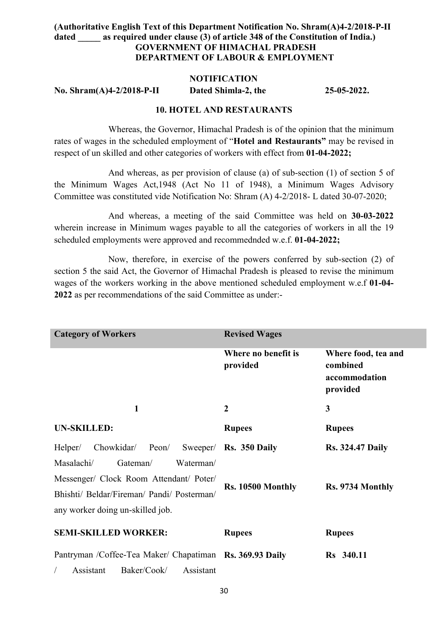### (Authoritative English Text of this Department Notification No. Shram(A)4-2/2018-P-II dated as required under clause (3) of article 348 of the Constitution of India.) GOVERNMENT OF HIMACHAL PRADESH DEPARTMENT OF LABOUR & EMPLOYMENT

#### NOTIFICATION

No. Shram(A)4-2/2018-P-II Dated Shimla-2, the 25-05-2022.

#### 10. HOTEL AND RESTAURANTS

Whereas, the Governor, Himachal Pradesh is of the opinion that the minimum rates of wages in the scheduled employment of "Hotel and Restaurants" may be revised in respect of un skilled and other categories of workers with effect from 01-04-2022;

And whereas, as per provision of clause (a) of sub-section (1) of section 5 of the Minimum Wages Act,1948 (Act No 11 of 1948), a Minimum Wages Advisory Committee was constituted vide Notification No: Shram (A) 4-2/2018- L dated 30-07-2020;

And whereas, a meeting of the said Committee was held on 30-03-2022 wherein increase in Minimum wages payable to all the categories of workers in all the 19 scheduled employments were approved and recommednded w.e.f. 01-04-2022;

Now, therefore, in exercise of the powers conferred by sub-section (2) of section 5 the said Act, the Governor of Himachal Pradesh is pleased to revise the minimum wages of the workers working in the above mentioned scheduled employment w.e.f 01-04- 2022 as per recommendations of the said Committee as under:-

| <b>Category of Workers</b>                                                                                                | <b>Revised Wages</b>            |                                                              |
|---------------------------------------------------------------------------------------------------------------------------|---------------------------------|--------------------------------------------------------------|
|                                                                                                                           | Where no benefit is<br>provided | Where food, tea and<br>combined<br>accommodation<br>provided |
| 1                                                                                                                         | $\overline{2}$                  | 3                                                            |
| <b>UN-SKILLED:</b>                                                                                                        | <b>Rupees</b>                   | <b>Rupees</b>                                                |
| Chowkidar/ Peon/<br>Helper/                                                                                               | Sweeper/ Rs. 350 Daily          | <b>Rs. 324.47 Daily</b>                                      |
| Masalachi/<br>Gateman/<br>Waterman/                                                                                       |                                 |                                                              |
| Messenger/ Clock Room Attendant/ Poter/<br>Bhishti/ Beldar/Fireman/ Pandi/ Posterman/<br>any worker doing un-skilled job. | Rs. 10500 Monthly               | Rs. 9734 Monthly                                             |
| <b>SEMI-SKILLED WORKER:</b>                                                                                               | <b>Rupees</b>                   | <b>Rupees</b>                                                |
| Pantryman /Coffee-Tea Maker/ Chapatiman Rs. 369.93 Daily                                                                  |                                 | Rs 340.11                                                    |

/ Assistant Baker/Cook/ Assistant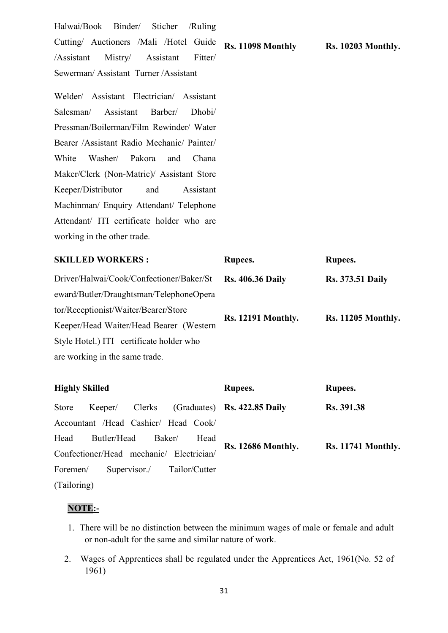Halwai/Book Binder/ Sticher /Ruling Cutting/ Auctioners /Mali /Hotel Guide /Assistant Mistry/ Assistant Fitter/ Sewerman/ Assistant Turner /Assistant Rs. 11098 Monthly Rs. 10203 Monthly.

Welder/ Assistant Electrician/ Assistant Salesman/ Assistant Barber/ Dhobi/ Pressman/Boilerman/Film Rewinder/ Water Bearer /Assistant Radio Mechanic/ Painter/ White Washer/ Pakora and Chana Maker/Clerk (Non-Matric)/ Assistant Store Keeper/Distributor and Assistant Machinman/ Enquiry Attendant/ Telephone Attendant/ ITI certificate holder who are working in the other trade.

SKILLED WORKERS : Rupees. Rupees. Rupees. Driver/Halwai/Cook/Confectioner/Baker/St eward/Butler/Draughtsman/TelephoneOpera tor/Receptionist/Waiter/Bearer/Store Keeper/Head Waiter/Head Bearer (Western Style Hotel.) ITI certificate holder who are working in the same trade. Rs. 406.36 Daily Rs. 12191 Monthly. Rs. 373.51 Daily Rs. 11205 Monthly. Highly Skilled Rupees. Rupees.

| mighty Dameu                           |                                          |                         |  |  | Ruptes.                                            | <b>IVAPCCS.</b>           |
|----------------------------------------|------------------------------------------|-------------------------|--|--|----------------------------------------------------|---------------------------|
| Store                                  |                                          |                         |  |  | Keeper/ Clerks (Graduates) <b>Rs. 422.85 Daily</b> | Rs. 391.38                |
|                                        | Accountant /Head Cashier/ Head Cook/     |                         |  |  |                                                    |                           |
| Head                                   |                                          | Butler/Head Baker/ Head |  |  |                                                    |                           |
|                                        | Confectioner/Head mechanic/ Electrician/ |                         |  |  | <b>Rs. 12686 Monthly.</b>                          | <b>Rs. 11741 Monthly.</b> |
| Foremen/<br>Supervisor./ Tailor/Cutter |                                          |                         |  |  |                                                    |                           |
| (Tailoring)                            |                                          |                         |  |  |                                                    |                           |

#### NOTE:-

- 1. There will be no distinction between the minimum wages of male or female and adult or non-adult for the same and similar nature of work.
- 2. Wages of Apprentices shall be regulated under the Apprentices Act, 1961(No. 52 of 1961)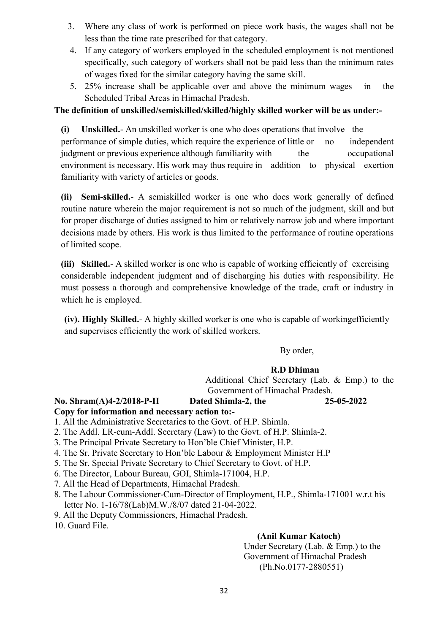- 3. Where any class of work is performed on piece work basis, the wages shall not be less than the time rate prescribed for that category.
- 4. If any category of workers employed in the scheduled employment is not mentioned specifically, such category of workers shall not be paid less than the minimum rates of wages fixed for the similar category having the same skill.
- 5. 25% increase shall be applicable over and above the minimum wages in the Scheduled Tribal Areas in Himachal Pradesh.

### The definition of unskilled/semiskilled/skilled/highly skilled worker will be as under:-

(i) Unskilled.- An unskilled worker is one who does operations that involve the performance of simple duties, which require the experience of little or no independent judgment or previous experience although familiarity with the occupational environment is necessary. His work may thus require in addition to physical exertion familiarity with variety of articles or goods.

(ii) Semi-skilled.- A semiskilled worker is one who does work generally of defined routine nature wherein the major requirement is not so much of the judgment, skill and but for proper discharge of duties assigned to him or relatively narrow job and where important decisions made by others. His work is thus limited to the performance of routine operations of limited scope.

(iii) Skilled.- A skilled worker is one who is capable of working efficiently of exercising considerable independent judgment and of discharging his duties with responsibility. He must possess a thorough and comprehensive knowledge of the trade, craft or industry in which he is employed.

(iv). Highly Skilled.- A highly skilled worker is one who is capable of workingefficiently and supervises efficiently the work of skilled workers.

By order,

### R.D Dhiman

 Additional Chief Secretary (Lab. & Emp.) to the Government of Himachal Pradesh.

No. Shram(A)4-2/2018-P-II Dated Shimla-2, the 25-05-2022 Copy for information and necessary action to:-

- 1. All the Administrative Secretaries to the Govt. of H.P. Shimla.
- 2. The Addl. LR-cum-Addl. Secretary (Law) to the Govt. of H.P. Shimla-2.
- 3. The Principal Private Secretary to Hon'ble Chief Minister, H.P.
- 4. The Sr. Private Secretary to Hon'ble Labour & Employment Minister H.P
- 5. The Sr. Special Private Secretary to Chief Secretary to Govt. of H.P.
- 6. The Director, Labour Bureau, GOI, Shimla-171004, H.P.
- 7. All the Head of Departments, Himachal Pradesh.
- 8. The Labour Commissioner-Cum-Director of Employment, H.P., Shimla-171001 w.r.t his letter No. 1-16/78(Lab)M.W./8/07 dated 21-04-2022.
- 9. All the Deputy Commissioners, Himachal Pradesh.
- 10. Guard File.

### (Anil Kumar Katoch)

Under Secretary (Lab. & Emp.) to the Government of Himachal Pradesh (Ph.No.0177-2880551)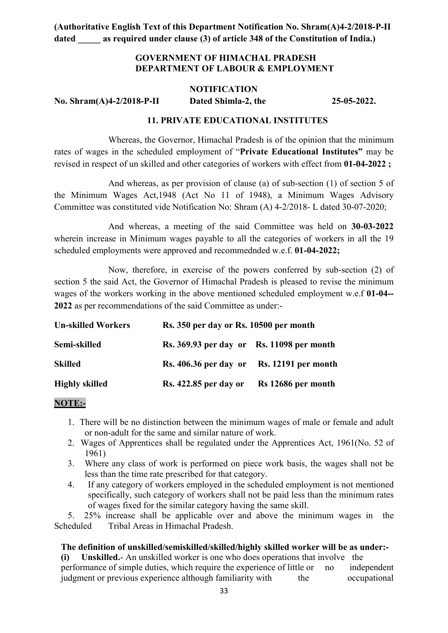### GOVERNMENT OF HIMACHAL PRADESH DEPARTMENT OF LABOUR & EMPLOYMENT

#### **NOTIFICATION**

No. Shram(A)4-2/2018-P-II Dated Shimla-2, the 25-05-2022.

### 11. PRIVATE EDUCATIONAL INSTITUTES

Whereas, the Governor, Himachal Pradesh is of the opinion that the minimum rates of wages in the scheduled employment of "Private Educational Institutes" may be revised in respect of un skilled and other categories of workers with effect from 01-04-2022 ;

And whereas, as per provision of clause (a) of sub-section (1) of section 5 of the Minimum Wages Act,1948 (Act No 11 of 1948), a Minimum Wages Advisory Committee was constituted vide Notification No: Shram (A) 4-2/2018- L dated 30-07-2020;

And whereas, a meeting of the said Committee was held on 30-03-2022 wherein increase in Minimum wages payable to all the categories of workers in all the 19 scheduled employments were approved and recommednded w.e.f. 01-04-2022;

Now, therefore, in exercise of the powers conferred by sub-section (2) of section 5 the said Act, the Governor of Himachal Pradesh is pleased to revise the minimum wages of the workers working in the above mentioned scheduled employment w.e.f 01-04--2022 as per recommendations of the said Committee as under:-

| <b>Un-skilled Workers</b> | Rs. 350 per day or Rs. 10500 per month    |                    |  |
|---------------------------|-------------------------------------------|--------------------|--|
| Semi-skilled              | Rs. 369.93 per day or Rs. 11098 per month |                    |  |
| <b>Skilled</b>            | Rs. 406.36 per day or Rs. 12191 per month |                    |  |
| <b>Highly skilled</b>     | <b>Rs. 422.85 per day or</b>              | Rs 12686 per month |  |

#### NOTE:-

- 1. There will be no distinction between the minimum wages of male or female and adult or non-adult for the same and similar nature of work.
- 2. Wages of Apprentices shall be regulated under the Apprentices Act, 1961(No. 52 of 1961)
- 3. Where any class of work is performed on piece work basis, the wages shall not be less than the time rate prescribed for that category.
- 4. If any category of workers employed in the scheduled employment is not mentioned specifically, such category of workers shall not be paid less than the minimum rates of wages fixed for the similar category having the same skill.

5. 25% increase shall be applicable over and above the minimum wages in the Scheduled Tribal Areas in Himachal Pradesh.

#### The definition of unskilled/semiskilled/skilled/highly skilled worker will be as under:-

(i) Unskilled.- An unskilled worker is one who does operations that involve the performance of simple duties, which require the experience of little or no independent judgment or previous experience although familiarity with the occupational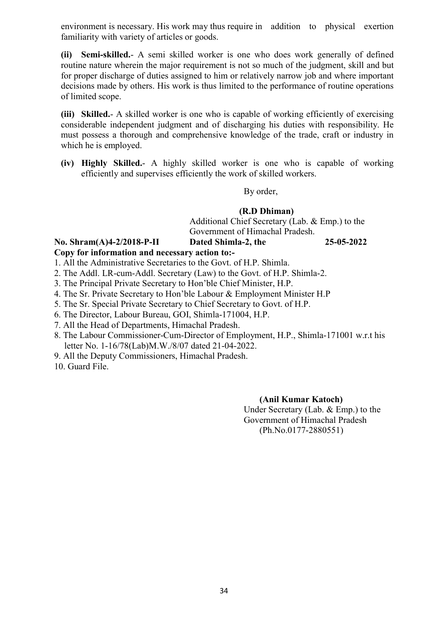environment is necessary. His work may thus require in addition to physical exertion familiarity with variety of articles or goods.

(ii) Semi-skilled.- A semi skilled worker is one who does work generally of defined routine nature wherein the major requirement is not so much of the judgment, skill and but for proper discharge of duties assigned to him or relatively narrow job and where important decisions made by others. His work is thus limited to the performance of routine operations of limited scope.

(iii) Skilled.- A skilled worker is one who is capable of working efficiently of exercising considerable independent judgment and of discharging his duties with responsibility. He must possess a thorough and comprehensive knowledge of the trade, craft or industry in which he is employed.

(iv) Highly Skilled.- A highly skilled worker is one who is capable of working efficiently and supervises efficiently the work of skilled workers.

#### By order,

#### (R.D Dhiman)

 Additional Chief Secretary (Lab. & Emp.) to the Government of Himachal Pradesh.

#### No. Shram(A)4-2/2018-P-II Dated Shimla-2, the 25-05-2022 Copy for information and necessary action to:-

1. All the Administrative Secretaries to the Govt. of H.P. Shimla.

- 2. The Addl. LR-cum-Addl. Secretary (Law) to the Govt. of H.P. Shimla-2.
- 3. The Principal Private Secretary to Hon'ble Chief Minister, H.P.
- 4. The Sr. Private Secretary to Hon'ble Labour & Employment Minister H.P
- 5. The Sr. Special Private Secretary to Chief Secretary to Govt. of H.P.
- 6. The Director, Labour Bureau, GOI, Shimla-171004, H.P.
- 7. All the Head of Departments, Himachal Pradesh.
- 8. The Labour Commissioner-Cum-Director of Employment, H.P., Shimla-171001 w.r.t his letter No. 1-16/78(Lab)M.W./8/07 dated 21-04-2022.
- 9. All the Deputy Commissioners, Himachal Pradesh.
- 10. Guard File.

### (Anil Kumar Katoch)

Under Secretary (Lab. & Emp.) to the Government of Himachal Pradesh (Ph.No.0177-2880551)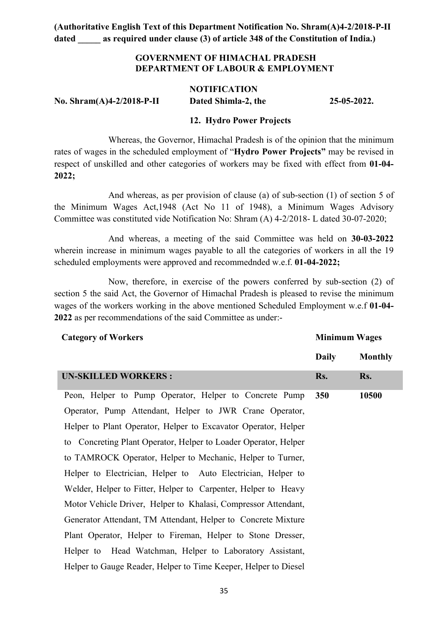### GOVERNMENT OF HIMACHAL PRADESH DEPARTMENT OF LABOUR & EMPLOYMENT

|                           | <b>NOTIFICATION</b> |             |
|---------------------------|---------------------|-------------|
| No. Shram(A)4-2/2018-P-II | Dated Shimla-2, the | 25-05-2022. |

### 12. Hydro Power Projects

Whereas, the Governor, Himachal Pradesh is of the opinion that the minimum rates of wages in the scheduled employment of "Hydro Power Projects" may be revised in respect of unskilled and other categories of workers may be fixed with effect from 01-04- 2022;

And whereas, as per provision of clause (a) of sub-section (1) of section 5 of the Minimum Wages Act,1948 (Act No 11 of 1948), a Minimum Wages Advisory Committee was constituted vide Notification No: Shram (A) 4-2/2018- L dated 30-07-2020;

And whereas, a meeting of the said Committee was held on 30-03-2022 wherein increase in minimum wages payable to all the categories of workers in all the 19 scheduled employments were approved and recommednded w.e.f. 01-04-2022;

Now, therefore, in exercise of the powers conferred by sub-section (2) of section 5 the said Act, the Governor of Himachal Pradesh is pleased to revise the minimum wages of the workers working in the above mentioned Scheduled Employment w.e.f 01-04- 2022 as per recommendations of the said Committee as under:-

Minimum Wages

| $\cdots$ $\cdots$ $\cdots$                                      |              |                |
|-----------------------------------------------------------------|--------------|----------------|
|                                                                 | <b>Daily</b> | <b>Monthly</b> |
| <b>UN-SKILLED WORKERS:</b>                                      | Rs.          | Rs.            |
| Peon, Helper to Pump Operator, Helper to Concrete Pump          | 350          | 10500          |
| Operator, Pump Attendant, Helper to JWR Crane Operator,         |              |                |
| Helper to Plant Operator, Helper to Excavator Operator, Helper  |              |                |
| to Concreting Plant Operator, Helper to Loader Operator, Helper |              |                |
| to TAMROCK Operator, Helper to Mechanic, Helper to Turner,      |              |                |
| Helper to Electrician, Helper to Auto Electrician, Helper to    |              |                |
| Welder, Helper to Fitter, Helper to Carpenter, Helper to Heavy  |              |                |
| Motor Vehicle Driver, Helper to Khalasi, Compressor Attendant,  |              |                |
| Generator Attendant, TM Attendant, Helper to Concrete Mixture   |              |                |
| Plant Operator, Helper to Fireman, Helper to Stone Dresser,     |              |                |
| Helper to Head Watchman, Helper to Laboratory Assistant,        |              |                |
| Helper to Gauge Reader, Helper to Time Keeper, Helper to Diesel |              |                |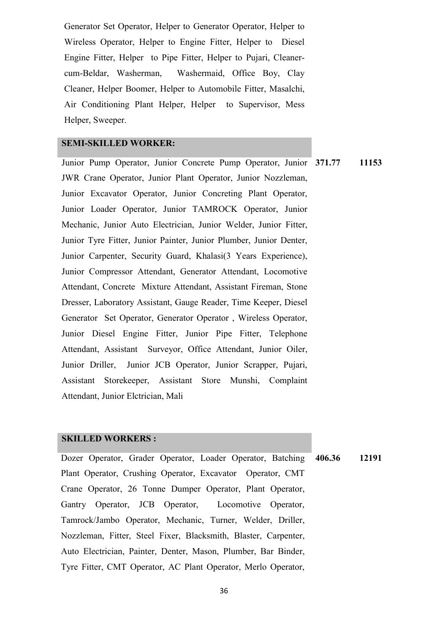Generator Set Operator, Helper to Generator Operator, Helper to Wireless Operator, Helper to Engine Fitter, Helper to Diesel Engine Fitter, Helper to Pipe Fitter, Helper to Pujari, Cleanercum-Beldar, Washerman, Washermaid, Office Boy, Clay Cleaner, Helper Boomer, Helper to Automobile Fitter, Masalchi, Air Conditioning Plant Helper, Helper to Supervisor, Mess Helper, Sweeper.

#### SEMI-SKILLED WORKER:

Junior Pump Operator, Junior Concrete Pump Operator, Junior 371.77 11153 JWR Crane Operator, Junior Plant Operator, Junior Nozzleman, Junior Excavator Operator, Junior Concreting Plant Operator, Junior Loader Operator, Junior TAMROCK Operator, Junior Mechanic, Junior Auto Electrician, Junior Welder, Junior Fitter, Junior Tyre Fitter, Junior Painter, Junior Plumber, Junior Denter, Junior Carpenter, Security Guard, Khalasi(3 Years Experience), Junior Compressor Attendant, Generator Attendant, Locomotive Attendant, Concrete Mixture Attendant, Assistant Fireman, Stone Dresser, Laboratory Assistant, Gauge Reader, Time Keeper, Diesel Generator Set Operator, Generator Operator , Wireless Operator, Junior Diesel Engine Fitter, Junior Pipe Fitter, Telephone Attendant, Assistant Surveyor, Office Attendant, Junior Oiler, Junior Driller, Junior JCB Operator, Junior Scrapper, Pujari, Assistant Storekeeper, Assistant Store Munshi, Complaint Attendant, Junior Elctrician, Mali

#### SKILLED WORKERS :

Dozer Operator, Grader Operator, Loader Operator, Batching Plant Operator, Crushing Operator, Excavator Operator, CMT Crane Operator, 26 Tonne Dumper Operator, Plant Operator, Gantry Operator, JCB Operator, Locomotive Operator, Tamrock/Jambo Operator, Mechanic, Turner, Welder, Driller, Nozzleman, Fitter, Steel Fixer, Blacksmith, Blaster, Carpenter, Auto Electrician, Painter, Denter, Mason, Plumber, Bar Binder, Tyre Fitter, CMT Operator, AC Plant Operator, Merlo Operator, 406.36 12191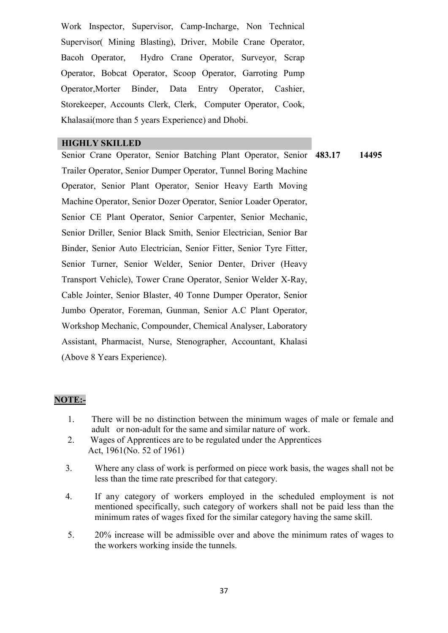Work Inspector, Supervisor, Camp-Incharge, Non Technical Supervisor( Mining Blasting), Driver, Mobile Crane Operator, Bacoh Operator, Hydro Crane Operator, Surveyor, Scrap Operator, Bobcat Operator, Scoop Operator, Garroting Pump Operator,Morter Binder, Data Entry Operator, Cashier, Storekeeper, Accounts Clerk, Clerk, Computer Operator, Cook, Khalasai(more than 5 years Experience) and Dhobi.

#### HIGHLY SKILLED

Senior Crane Operator, Senior Batching Plant Operator, Senior 483.17 14495 Trailer Operator, Senior Dumper Operator, Tunnel Boring Machine Operator, Senior Plant Operator, Senior Heavy Earth Moving Machine Operator, Senior Dozer Operator, Senior Loader Operator, Senior CE Plant Operator, Senior Carpenter, Senior Mechanic, Senior Driller, Senior Black Smith, Senior Electrician, Senior Bar Binder, Senior Auto Electrician, Senior Fitter, Senior Tyre Fitter, Senior Turner, Senior Welder, Senior Denter, Driver (Heavy Transport Vehicle), Tower Crane Operator, Senior Welder X-Ray, Cable Jointer, Senior Blaster, 40 Tonne Dumper Operator, Senior Jumbo Operator, Foreman, Gunman, Senior A.C Plant Operator, Workshop Mechanic, Compounder, Chemical Analyser, Laboratory Assistant, Pharmacist, Nurse, Stenographer, Accountant, Khalasi (Above 8 Years Experience).

### NOTE:-

- 1. There will be no distinction between the minimum wages of male or female and adult or non-adult for the same and similar nature of work.
- 2. Wages of Apprentices are to be regulated under the Apprentices Act, 1961(No. 52 of 1961)
- 3. Where any class of work is performed on piece work basis, the wages shall not be less than the time rate prescribed for that category.
- 4. If any category of workers employed in the scheduled employment is not mentioned specifically, such category of workers shall not be paid less than the minimum rates of wages fixed for the similar category having the same skill.
- 5. 20% increase will be admissible over and above the minimum rates of wages to the workers working inside the tunnels.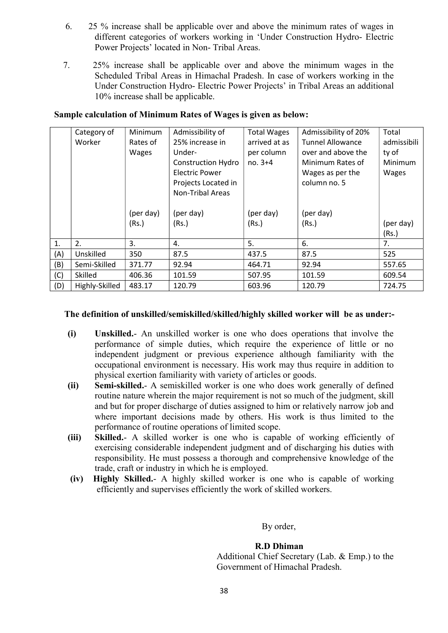- 6. 25 % increase shall be applicable over and above the minimum rates of wages in different categories of workers working in 'Under Construction Hydro- Electric Power Projects' located in Non- Tribal Areas.
- 7. 25% increase shall be applicable over and above the minimum wages in the Scheduled Tribal Areas in Himachal Pradesh. In case of workers working in the Under Construction Hydro- Electric Power Projects' in Tribal Areas an additional 10% increase shall be applicable.

|     | Category of    | Minimum      | Admissibility of          | <b>Total Wages</b> | Admissibility of 20%    | Total       |
|-----|----------------|--------------|---------------------------|--------------------|-------------------------|-------------|
|     | Worker         | Rates of     | 25% increase in           | arrived at as      | <b>Tunnel Allowance</b> | admissibili |
|     |                | <b>Wages</b> | Under-                    | per column         | over and above the      | ty of       |
|     |                |              | <b>Construction Hydro</b> | $no. 3+4$          | Minimum Rates of        | Minimum     |
|     |                |              | <b>Electric Power</b>     |                    | Wages as per the        | Wages       |
|     |                |              | Projects Located in       |                    | column no. 5            |             |
|     |                |              | <b>Non-Tribal Areas</b>   |                    |                         |             |
|     |                |              |                           |                    |                         |             |
|     |                | (per day)    | (per day)                 | (per day)          | (per day)               |             |
|     |                | (Rs.)        | (Rs.)                     | (Rs.)              | (Rs.)                   | (per day)   |
|     |                |              |                           |                    |                         | (Rs.)       |
| 1.  | 2.             | 3.           | 4.                        | 5.                 | 6.                      | 7.          |
| (A) | Unskilled      | 350          | 87.5                      | 437.5              | 87.5                    | 525         |
| (B) | Semi-Skilled   | 371.77       | 92.94                     | 464.71             | 92.94                   | 557.65      |
| (C) | Skilled        | 406.36       | 101.59                    | 507.95             | 101.59                  | 609.54      |
| (D) | Highly-Skilled | 483.17       | 120.79                    | 603.96             | 120.79                  | 724.75      |

### Sample calculation of Minimum Rates of Wages is given as below:

### The definition of unskilled/semiskilled/skilled/highly skilled worker will be as under:-

- (i) Unskilled.- An unskilled worker is one who does operations that involve the performance of simple duties, which require the experience of little or no independent judgment or previous experience although familiarity with the occupational environment is necessary. His work may thus require in addition to physical exertion familiarity with variety of articles or goods.
- (ii) Semi-skilled.- A semiskilled worker is one who does work generally of defined routine nature wherein the major requirement is not so much of the judgment, skill and but for proper discharge of duties assigned to him or relatively narrow job and where important decisions made by others. His work is thus limited to the performance of routine operations of limited scope.
- (iii) Skilled.- A skilled worker is one who is capable of working efficiently of exercising considerable independent judgment and of discharging his duties with responsibility. He must possess a thorough and comprehensive knowledge of the trade, craft or industry in which he is employed.
- (iv) Highly Skilled.- A highly skilled worker is one who is capable of working efficiently and supervises efficiently the work of skilled workers.

By order,

#### R.D Dhiman

 Additional Chief Secretary (Lab. & Emp.) to the Government of Himachal Pradesh.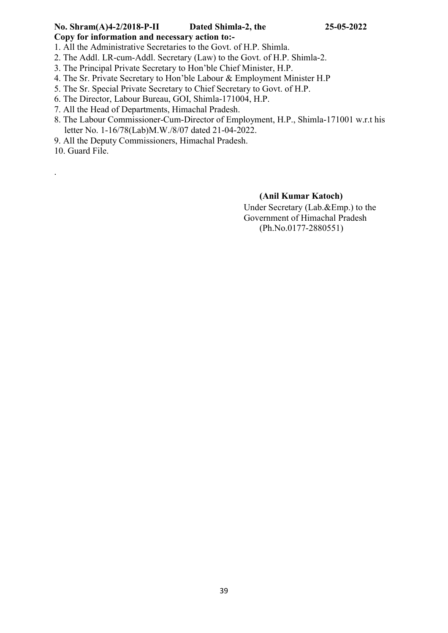# No. Shram(A)4-2/2018-P-II Dated Shimla-2, the 25-05-2022

Copy for information and necessary action to:-

1. All the Administrative Secretaries to the Govt. of H.P. Shimla.

- 2. The Addl. LR-cum-Addl. Secretary (Law) to the Govt. of H.P. Shimla-2.
- 3. The Principal Private Secretary to Hon'ble Chief Minister, H.P.
- 4. The Sr. Private Secretary to Hon'ble Labour & Employment Minister H.P
- 5. The Sr. Special Private Secretary to Chief Secretary to Govt. of H.P.
- 6. The Director, Labour Bureau, GOI, Shimla-171004, H.P.
- 7. All the Head of Departments, Himachal Pradesh.
- 8. The Labour Commissioner-Cum-Director of Employment, H.P., Shimla-171001 w.r.t his letter No. 1-16/78(Lab)M.W./8/07 dated 21-04-2022.
- 9. All the Deputy Commissioners, Himachal Pradesh.

10. Guard File.

.

### (Anil Kumar Katoch)

Under Secretary (Lab.&Emp.) to the Government of Himachal Pradesh (Ph.No.0177-2880551)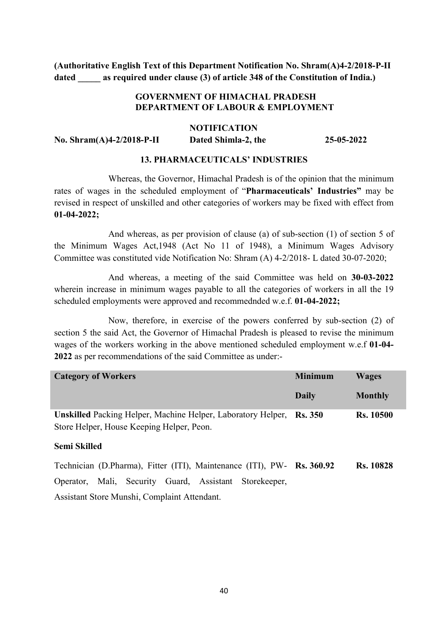### GOVERNMENT OF HIMACHAL PRADESH DEPARTMENT OF LABOUR & EMPLOYMENT

#### NOTIFICATION

No. Shram(A)4-2/2018-P-II Dated Shimla-2, the 25-05-2022

#### 13. PHARMACEUTICALS' INDUSTRIES

Whereas, the Governor, Himachal Pradesh is of the opinion that the minimum rates of wages in the scheduled employment of "Pharmaceuticals' Industries" may be revised in respect of unskilled and other categories of workers may be fixed with effect from 01-04-2022;

And whereas, as per provision of clause (a) of sub-section (1) of section 5 of the Minimum Wages Act,1948 (Act No 11 of 1948), a Minimum Wages Advisory Committee was constituted vide Notification No: Shram (A) 4-2/2018- L dated 30-07-2020;

And whereas, a meeting of the said Committee was held on 30-03-2022 wherein increase in minimum wages payable to all the categories of workers in all the 19 scheduled employments were approved and recommednded w.e.f. 01-04-2022;

Now, therefore, in exercise of the powers conferred by sub-section (2) of section 5 the said Act, the Governor of Himachal Pradesh is pleased to revise the minimum wages of the workers working in the above mentioned scheduled employment w.e.f 01-04- 2022 as per recommendations of the said Committee as under:-

| <b>Category of Workers</b>                                                  | <b>Minimum</b> | <b>Wages</b>     |
|-----------------------------------------------------------------------------|----------------|------------------|
|                                                                             | Daily          | <b>Monthly</b>   |
| <b>Unskilled Packing Helper, Machine Helper, Laboratory Helper, Rs. 350</b> |                | <b>Rs. 10500</b> |
| Store Helper, House Keeping Helper, Peon.                                   |                |                  |
| <b>Semi Skilled</b>                                                         |                |                  |
| Technician (D.Pharma), Fitter (ITI), Maintenance (ITI), PW- Rs. 360.92      |                | <b>Rs. 10828</b> |
| Operator, Mali, Security Guard, Assistant Storekeeper,                      |                |                  |
|                                                                             |                |                  |

Assistant Store Munshi, Complaint Attendant.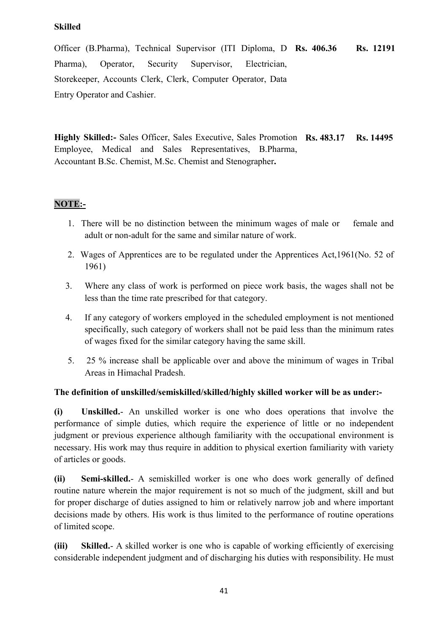### Skilled

Officer (B.Pharma), Technical Supervisor (ITI Diploma, D Rs. 406.36 Rs. 12191 Pharma), Operator, Security Supervisor, Electrician, Storekeeper, Accounts Clerk, Clerk, Computer Operator, Data Entry Operator and Cashier.

Highly Skilled:- Sales Officer, Sales Executive, Sales Promotion Rs. 483.17 Rs. 14495 Employee, Medical and Sales Representatives, B.Pharma, Accountant B.Sc. Chemist, M.Sc. Chemist and Stenographer.

### NOTE:-

- 1. There will be no distinction between the minimum wages of male or female and adult or non-adult for the same and similar nature of work.
- 2. Wages of Apprentices are to be regulated under the Apprentices Act,1961(No. 52 of 1961)
- 3. Where any class of work is performed on piece work basis, the wages shall not be less than the time rate prescribed for that category.
- 4. If any category of workers employed in the scheduled employment is not mentioned specifically, such category of workers shall not be paid less than the minimum rates of wages fixed for the similar category having the same skill.
- 5. 25 % increase shall be applicable over and above the minimum of wages in Tribal Areas in Himachal Pradesh.

### The definition of unskilled/semiskilled/skilled/highly skilled worker will be as under:-

(i) Unskilled.- An unskilled worker is one who does operations that involve the performance of simple duties, which require the experience of little or no independent judgment or previous experience although familiarity with the occupational environment is necessary. His work may thus require in addition to physical exertion familiarity with variety of articles or goods.

(ii) Semi-skilled.- A semiskilled worker is one who does work generally of defined routine nature wherein the major requirement is not so much of the judgment, skill and but for proper discharge of duties assigned to him or relatively narrow job and where important decisions made by others. His work is thus limited to the performance of routine operations of limited scope.

(iii) Skilled.- A skilled worker is one who is capable of working efficiently of exercising considerable independent judgment and of discharging his duties with responsibility. He must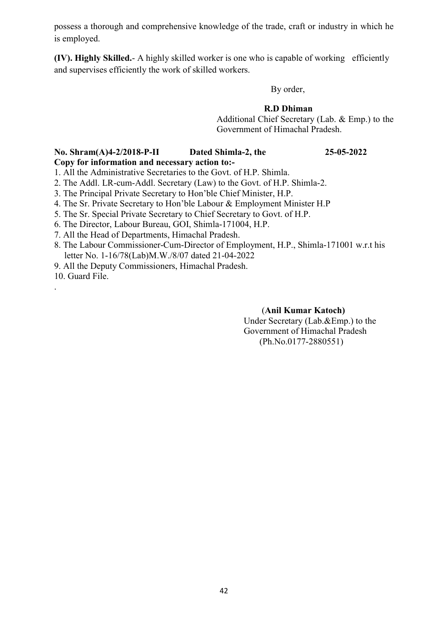possess a thorough and comprehensive knowledge of the trade, craft or industry in which he is employed.

(IV). Highly Skilled.- A highly skilled worker is one who is capable of working efficiently and supervises efficiently the work of skilled workers.

By order,

### R.D Dhiman

 Additional Chief Secretary (Lab. & Emp.) to the Government of Himachal Pradesh.

#### No. Shram(A)4-2/2018-P-II Dated Shimla-2, the 25-05-2022 Copy for information and necessary action to:-

1. All the Administrative Secretaries to the Govt. of H.P. Shimla.

- 2. The Addl. LR-cum-Addl. Secretary (Law) to the Govt. of H.P. Shimla-2.
- 3. The Principal Private Secretary to Hon'ble Chief Minister, H.P.
- 4. The Sr. Private Secretary to Hon'ble Labour & Employment Minister H.P
- 5. The Sr. Special Private Secretary to Chief Secretary to Govt. of H.P.
- 6. The Director, Labour Bureau, GOI, Shimla-171004, H.P.
- 7. All the Head of Departments, Himachal Pradesh.
- 8. The Labour Commissioner-Cum-Director of Employment, H.P., Shimla-171001 w.r.t his letter No. 1-16/78(Lab)M.W./8/07 dated 21-04-2022
- 9. All the Deputy Commissioners, Himachal Pradesh.

10. Guard File.

.

#### (Anil Kumar Katoch)

Under Secretary (Lab.&Emp.) to the Government of Himachal Pradesh (Ph.No.0177-2880551)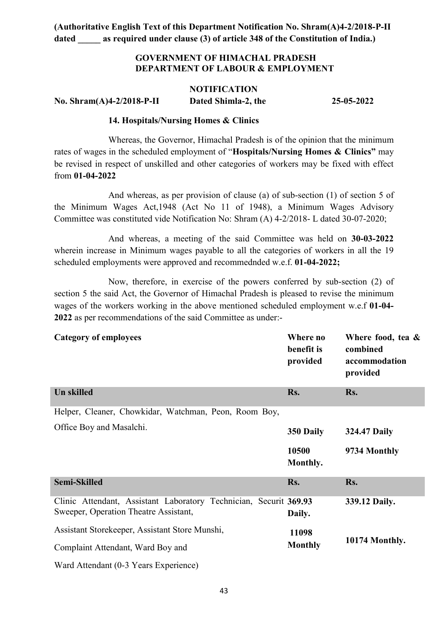### GOVERNMENT OF HIMACHAL PRADESH DEPARTMENT OF LABOUR & EMPLOYMENT

## **NOTIFICATION** No. Shram(A)4-2/2018-P-II Dated Shimla-2, the 25-05-2022

#### 14. Hospitals/Nursing Homes & Clinics

Whereas, the Governor, Himachal Pradesh is of the opinion that the minimum rates of wages in the scheduled employment of "Hospitals/Nursing Homes & Clinics" may be revised in respect of unskilled and other categories of workers may be fixed with effect from 01-04-2022

And whereas, as per provision of clause (a) of sub-section (1) of section 5 of the Minimum Wages Act,1948 (Act No 11 of 1948), a Minimum Wages Advisory Committee was constituted vide Notification No: Shram (A) 4-2/2018- L dated 30-07-2020;

And whereas, a meeting of the said Committee was held on 30-03-2022 wherein increase in Minimum wages payable to all the categories of workers in all the 19 scheduled employments were approved and recommednded w.e.f. 01-04-2022;

Now, therefore, in exercise of the powers conferred by sub-section (2) of section 5 the said Act, the Governor of Himachal Pradesh is pleased to revise the minimum wages of the workers working in the above mentioned scheduled employment w.e.f 01-04- 2022 as per recommendations of the said Committee as under:-

| <b>Category of employees</b>                                                                               | Where no<br>benefit is<br>provided | Where food, tea &<br>combined<br>accommodation<br>provided |
|------------------------------------------------------------------------------------------------------------|------------------------------------|------------------------------------------------------------|
| <b>Un skilled</b>                                                                                          | Rs.                                | Rs.                                                        |
| Helper, Cleaner, Chowkidar, Watchman, Peon, Room Boy,                                                      |                                    |                                                            |
| Office Boy and Masalchi.                                                                                   | 350 Daily                          | <b>324.47 Daily</b>                                        |
|                                                                                                            | 10500<br>Monthly.                  | 9734 Monthly                                               |
| <b>Semi-Skilled</b>                                                                                        | Rs.                                | Rs.                                                        |
| Clinic Attendant, Assistant Laboratory Technician, Securit 369.93<br>Sweeper, Operation Theatre Assistant, | Daily.                             | 339.12 Daily.                                              |
| Assistant Storekeeper, Assistant Store Munshi,                                                             | 11098                              |                                                            |
| Complaint Attendant, Ward Boy and                                                                          | <b>Monthly</b>                     | 10174 Monthly.                                             |
| Ward Attendant (0-3 Years Experience)                                                                      |                                    |                                                            |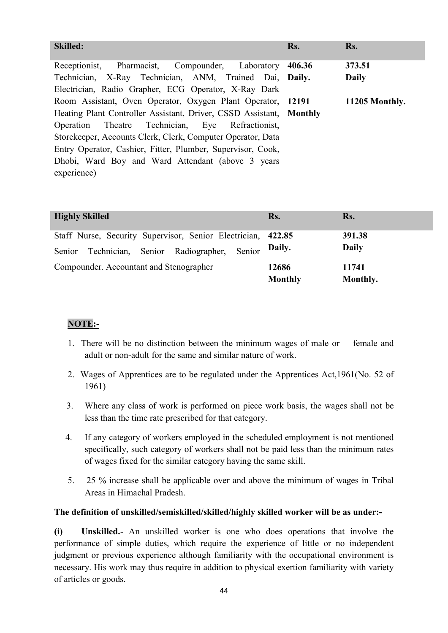| <b>Skilled:</b>                                                     | Rs.    | Rs.            |
|---------------------------------------------------------------------|--------|----------------|
| Receptionist, Pharmacist, Compounder, Laboratory                    | 406.36 | 373.51         |
| Technician, X-Ray Technician, ANM, Trained Dai, Daily.              |        | <b>Daily</b>   |
| Electrician, Radio Grapher, ECG Operator, X-Ray Dark                |        |                |
| Room Assistant, Oven Operator, Oxygen Plant Operator, 12191         |        | 11205 Monthly. |
| Heating Plant Controller Assistant, Driver, CSSD Assistant, Monthly |        |                |
| Operation Theatre Technician, Eye Refractionist,                    |        |                |
| Storekeeper, Accounts Clerk, Clerk, Computer Operator, Data         |        |                |
| Entry Operator, Cashier, Fitter, Plumber, Supervisor, Cook,         |        |                |
| Dhobi, Ward Boy and Ward Attendant (above 3 years                   |        |                |
| experience)                                                         |        |                |

| <b>Highly Skilled</b>                                                                                             | Rs.                     | Rs.                    |
|-------------------------------------------------------------------------------------------------------------------|-------------------------|------------------------|
| Staff Nurse, Security Supervisor, Senior Electrician, 422.85<br>Senior Technician, Senior Radiographer,<br>Senior | Daily.                  | 391.38<br><b>Daily</b> |
| Compounder. Accountant and Stenographer                                                                           | 12686<br><b>Monthly</b> | 11741<br>Monthly.      |

### NOTE:-

- 1. There will be no distinction between the minimum wages of male or female and adult or non-adult for the same and similar nature of work.
- 2. Wages of Apprentices are to be regulated under the Apprentices Act,1961(No. 52 of 1961)
- 3. Where any class of work is performed on piece work basis, the wages shall not be less than the time rate prescribed for that category.
- 4. If any category of workers employed in the scheduled employment is not mentioned specifically, such category of workers shall not be paid less than the minimum rates of wages fixed for the similar category having the same skill.
- 5. 25 % increase shall be applicable over and above the minimum of wages in Tribal Areas in Himachal Pradesh.

### The definition of unskilled/semiskilled/skilled/highly skilled worker will be as under:-

(i) Unskilled.- An unskilled worker is one who does operations that involve the performance of simple duties, which require the experience of little or no independent judgment or previous experience although familiarity with the occupational environment is necessary. His work may thus require in addition to physical exertion familiarity with variety of articles or goods.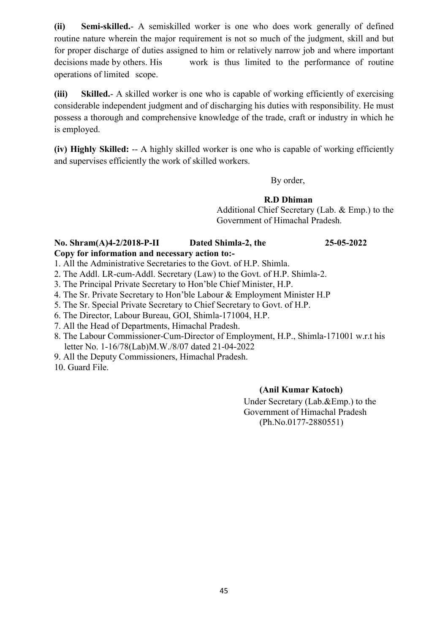(ii) Semi-skilled.- A semiskilled worker is one who does work generally of defined routine nature wherein the major requirement is not so much of the judgment, skill and but for proper discharge of duties assigned to him or relatively narrow job and where important decisions made by others. His work is thus limited to the performance of routine operations of limited scope.

(iii) Skilled.- A skilled worker is one who is capable of working efficiently of exercising considerable independent judgment and of discharging his duties with responsibility. He must possess a thorough and comprehensive knowledge of the trade, craft or industry in which he is employed.

(iv) Highly Skilled: -- A highly skilled worker is one who is capable of working efficiently and supervises efficiently the work of skilled workers.

By order,

R.D Dhiman

 Additional Chief Secretary (Lab. & Emp.) to the Government of Himachal Pradesh.

#### No. Shram(A)4-2/2018-P-II Dated Shimla-2, the 25-05-2022 Copy for information and necessary action to:-

1. All the Administrative Secretaries to the Govt. of H.P. Shimla.

2. The Addl. LR-cum-Addl. Secretary (Law) to the Govt. of H.P. Shimla-2.

3. The Principal Private Secretary to Hon'ble Chief Minister, H.P.

4. The Sr. Private Secretary to Hon'ble Labour & Employment Minister H.P

5. The Sr. Special Private Secretary to Chief Secretary to Govt. of H.P.

6. The Director, Labour Bureau, GOI, Shimla-171004, H.P.

7. All the Head of Departments, Himachal Pradesh.

8. The Labour Commissioner-Cum-Director of Employment, H.P., Shimla-171001 w.r.t his letter No. 1-16/78(Lab)M.W./8/07 dated 21-04-2022

9. All the Deputy Commissioners, Himachal Pradesh.

10. Guard File.

### (Anil Kumar Katoch)

Under Secretary (Lab.&Emp.) to the Government of Himachal Pradesh (Ph.No.0177-2880551)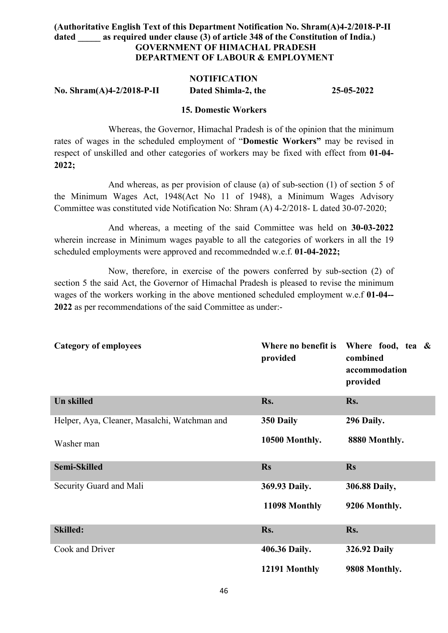### (Authoritative English Text of this Department Notification No. Shram(A)4-2/2018-P-II dated as required under clause (3) of article 348 of the Constitution of India.) GOVERNMENT OF HIMACHAL PRADESH DEPARTMENT OF LABOUR & EMPLOYMENT

#### NOTIFICATION

No. Shram(A)4-2/2018-P-II Dated Shimla-2, the 25-05-2022

#### 15. Domestic Workers

Whereas, the Governor, Himachal Pradesh is of the opinion that the minimum rates of wages in the scheduled employment of "Domestic Workers" may be revised in respect of unskilled and other categories of workers may be fixed with effect from 01-04- 2022;

And whereas, as per provision of clause (a) of sub-section (1) of section 5 of the Minimum Wages Act, 1948(Act No 11 of 1948), a Minimum Wages Advisory Committee was constituted vide Notification No: Shram (A) 4-2/2018- L dated 30-07-2020;

And whereas, a meeting of the said Committee was held on 30-03-2022 wherein increase in Minimum wages payable to all the categories of workers in all the 19 scheduled employments were approved and recommednded w.e.f. 01-04-2022;

Now, therefore, in exercise of the powers conferred by sub-section (2) of section 5 the said Act, the Governor of Himachal Pradesh is pleased to revise the minimum wages of the workers working in the above mentioned scheduled employment w.e.f 01-04-- 2022 as per recommendations of the said Committee as under:-

| <b>Category of employees</b>                 | Where no benefit is<br>provided | Where food, tea &<br>combined<br>accommodation<br>provided |
|----------------------------------------------|---------------------------------|------------------------------------------------------------|
| <b>Un skilled</b>                            | Rs.                             | Rs.                                                        |
| Helper, Aya, Cleaner, Masalchi, Watchman and | 350 Daily                       | 296 Daily.                                                 |
| Washer man                                   | 10500 Monthly.                  | 8880 Monthly.                                              |
| <b>Semi-Skilled</b>                          | <b>Rs</b>                       | <b>Rs</b>                                                  |
| Security Guard and Mali                      | 369.93 Daily.                   | 306.88 Daily,                                              |
|                                              | 11098 Monthly                   | 9206 Monthly.                                              |
| <b>Skilled:</b>                              | Rs.                             | Rs.                                                        |
| Cook and Driver                              | 406.36 Daily.                   | <b>326.92 Daily</b>                                        |
|                                              | 12191 Monthly                   | 9808 Monthly.                                              |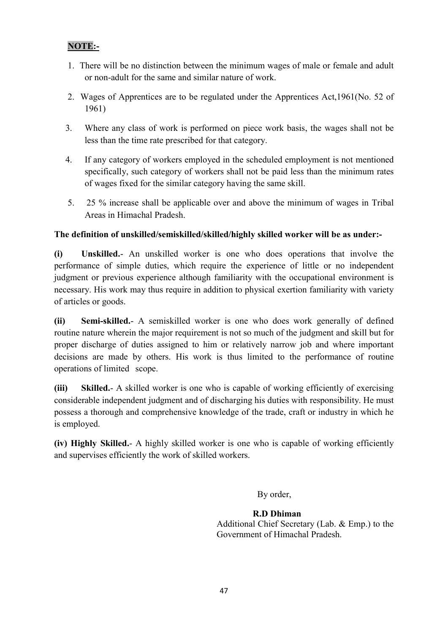### NOTE:-

- 1. There will be no distinction between the minimum wages of male or female and adult or non-adult for the same and similar nature of work.
- 2. Wages of Apprentices are to be regulated under the Apprentices Act,1961(No. 52 of 1961)
- 3. Where any class of work is performed on piece work basis, the wages shall not be less than the time rate prescribed for that category.
- 4. If any category of workers employed in the scheduled employment is not mentioned specifically, such category of workers shall not be paid less than the minimum rates of wages fixed for the similar category having the same skill.
- 5. 25 % increase shall be applicable over and above the minimum of wages in Tribal Areas in Himachal Pradesh.

### The definition of unskilled/semiskilled/skilled/highly skilled worker will be as under:-

(i) Unskilled.- An unskilled worker is one who does operations that involve the performance of simple duties, which require the experience of little or no independent judgment or previous experience although familiarity with the occupational environment is necessary. His work may thus require in addition to physical exertion familiarity with variety of articles or goods.

(ii) Semi-skilled.- A semiskilled worker is one who does work generally of defined routine nature wherein the major requirement is not so much of the judgment and skill but for proper discharge of duties assigned to him or relatively narrow job and where important decisions are made by others. His work is thus limited to the performance of routine operations of limited scope.

(iii) Skilled.- A skilled worker is one who is capable of working efficiently of exercising considerable independent judgment and of discharging his duties with responsibility. He must possess a thorough and comprehensive knowledge of the trade, craft or industry in which he is employed.

(iv) Highly Skilled.- A highly skilled worker is one who is capable of working efficiently and supervises efficiently the work of skilled workers.

By order,

#### R.D Dhiman Additional Chief Secretary (Lab. & Emp.) to the Government of Himachal Pradesh.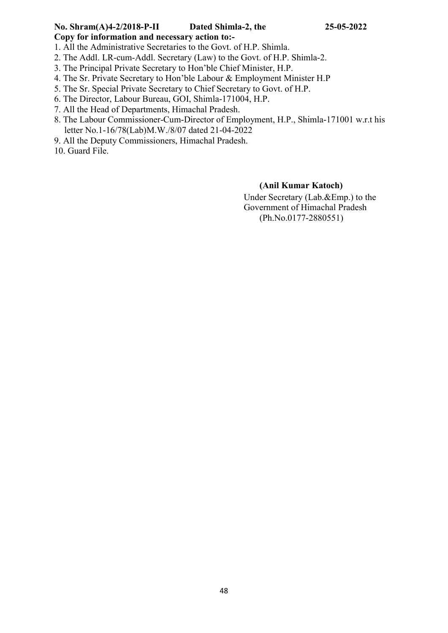# No. Shram(A)4-2/2018-P-II Dated Shimla-2, the 25-05-2022

Copy for information and necessary action to:-

1. All the Administrative Secretaries to the Govt. of H.P. Shimla.

- 2. The Addl. LR-cum-Addl. Secretary (Law) to the Govt. of H.P. Shimla-2.
- 3. The Principal Private Secretary to Hon'ble Chief Minister, H.P.
- 4. The Sr. Private Secretary to Hon'ble Labour & Employment Minister H.P
- 5. The Sr. Special Private Secretary to Chief Secretary to Govt. of H.P.
- 6. The Director, Labour Bureau, GOI, Shimla-171004, H.P.
- 7. All the Head of Departments, Himachal Pradesh.
- 8. The Labour Commissioner-Cum-Director of Employment, H.P., Shimla-171001 w.r.t his letter No.1-16/78(Lab)M.W./8/07 dated 21-04-2022
- 9. All the Deputy Commissioners, Himachal Pradesh.

10. Guard File.

### (Anil Kumar Katoch)

Under Secretary (Lab.&Emp.) to the Government of Himachal Pradesh (Ph.No.0177-2880551)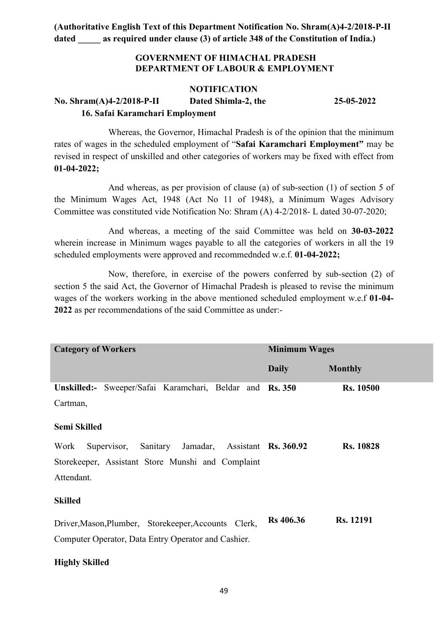### GOVERNMENT OF HIMACHAL PRADESH DEPARTMENT OF LABOUR & EMPLOYMENT

#### NOTIFICATION

No. Shram(A)4-2/2018-P-II Dated Shimla-2, the 25-05-2022 16. Safai Karamchari Employment

Whereas, the Governor, Himachal Pradesh is of the opinion that the minimum rates of wages in the scheduled employment of "Safai Karamchari Employment" may be revised in respect of unskilled and other categories of workers may be fixed with effect from 01-04-2022;

And whereas, as per provision of clause (a) of sub-section (1) of section 5 of the Minimum Wages Act, 1948 (Act No 11 of 1948), a Minimum Wages Advisory Committee was constituted vide Notification No: Shram (A) 4-2/2018- L dated 30-07-2020;

And whereas, a meeting of the said Committee was held on 30-03-2022 wherein increase in Minimum wages payable to all the categories of workers in all the 19 scheduled employments were approved and recommednded w.e.f. 01-04-2022;

Now, therefore, in exercise of the powers conferred by sub-section (2) of section 5 the said Act, the Governor of Himachal Pradesh is pleased to revise the minimum wages of the workers working in the above mentioned scheduled employment w.e.f 01-04- 2022 as per recommendations of the said Committee as under:-

| <b>Category of Workers</b>                                 | <b>Minimum Wages</b> |                  |  |  |  |
|------------------------------------------------------------|----------------------|------------------|--|--|--|
|                                                            | <b>Daily</b>         | <b>Monthly</b>   |  |  |  |
| Unskilled:- Sweeper/Safai Karamchari, Beldar and Rs. 350   |                      | <b>Rs. 10500</b> |  |  |  |
| Cartman,                                                   |                      |                  |  |  |  |
| Semi Skilled                                               |                      |                  |  |  |  |
| Supervisor, Sanitary Jamadar, Assistant Rs. 360.92<br>Work |                      | <b>Rs. 10828</b> |  |  |  |
| Storekeeper, Assistant Store Munshi and Complaint          |                      |                  |  |  |  |
| Attendant.                                                 |                      |                  |  |  |  |
| <b>Skilled</b>                                             |                      |                  |  |  |  |
| Driver, Mason, Plumber, Storekeeper, Accounts Clerk,       | <b>Rs</b> 406.36     | <b>Rs. 12191</b> |  |  |  |
| Computer Operator, Data Entry Operator and Cashier.        |                      |                  |  |  |  |

#### Highly Skilled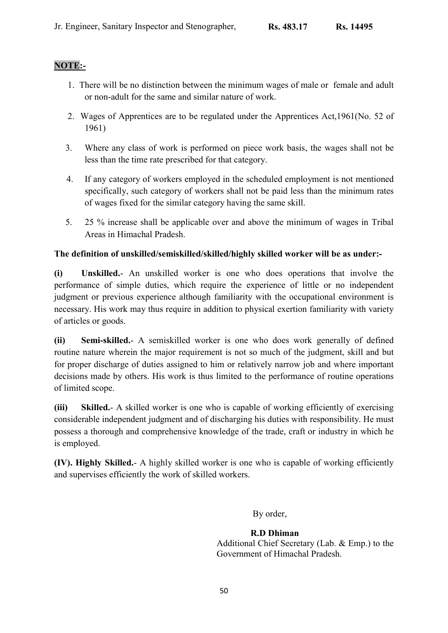### NOTE:-

- 1. There will be no distinction between the minimum wages of male or female and adult or non-adult for the same and similar nature of work.
- 2. Wages of Apprentices are to be regulated under the Apprentices Act,1961(No. 52 of 1961)
- 3. Where any class of work is performed on piece work basis, the wages shall not be less than the time rate prescribed for that category.
- 4. If any category of workers employed in the scheduled employment is not mentioned specifically, such category of workers shall not be paid less than the minimum rates of wages fixed for the similar category having the same skill.
- 5. 25 % increase shall be applicable over and above the minimum of wages in Tribal Areas in Himachal Pradesh.

### The definition of unskilled/semiskilled/skilled/highly skilled worker will be as under:-

(i) Unskilled.- An unskilled worker is one who does operations that involve the performance of simple duties, which require the experience of little or no independent judgment or previous experience although familiarity with the occupational environment is necessary. His work may thus require in addition to physical exertion familiarity with variety of articles or goods.

(ii) Semi-skilled.- A semiskilled worker is one who does work generally of defined routine nature wherein the major requirement is not so much of the judgment, skill and but for proper discharge of duties assigned to him or relatively narrow job and where important decisions made by others. His work is thus limited to the performance of routine operations of limited scope.

(iii) Skilled.- A skilled worker is one who is capable of working efficiently of exercising considerable independent judgment and of discharging his duties with responsibility. He must possess a thorough and comprehensive knowledge of the trade, craft or industry in which he is employed.

(IV). Highly Skilled.- A highly skilled worker is one who is capable of working efficiently and supervises efficiently the work of skilled workers.

By order,

 R.D Dhiman Additional Chief Secretary (Lab. & Emp.) to the Government of Himachal Pradesh.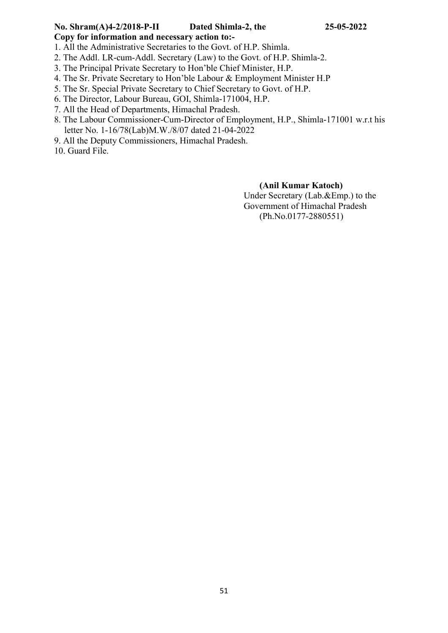# No. Shram(A)4-2/2018-P-II Dated Shimla-2, the 25-05-2022

Copy for information and necessary action to:-

1. All the Administrative Secretaries to the Govt. of H.P. Shimla.

- 2. The Addl. LR-cum-Addl. Secretary (Law) to the Govt. of H.P. Shimla-2.
- 3. The Principal Private Secretary to Hon'ble Chief Minister, H.P.
- 4. The Sr. Private Secretary to Hon'ble Labour & Employment Minister H.P
- 5. The Sr. Special Private Secretary to Chief Secretary to Govt. of H.P.
- 6. The Director, Labour Bureau, GOI, Shimla-171004, H.P.
- 7. All the Head of Departments, Himachal Pradesh.
- 8. The Labour Commissioner-Cum-Director of Employment, H.P., Shimla-171001 w.r.t his letter No. 1-16/78(Lab)M.W./8/07 dated 21-04-2022
- 9. All the Deputy Commissioners, Himachal Pradesh.

10. Guard File.

### (Anil Kumar Katoch)

Under Secretary (Lab.&Emp.) to the Government of Himachal Pradesh (Ph.No.0177-2880551)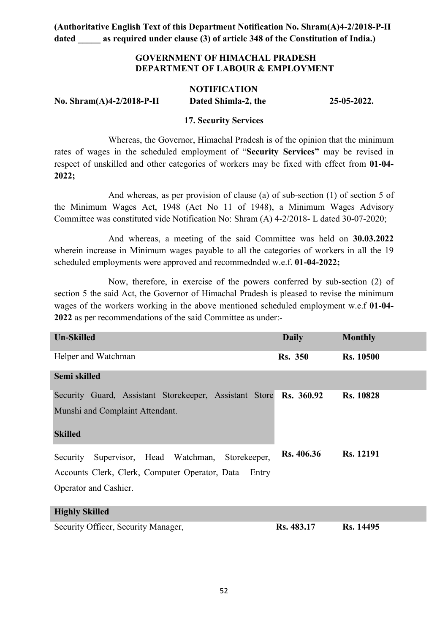### GOVERNMENT OF HIMACHAL PRADESH DEPARTMENT OF LABOUR & EMPLOYMENT

# **NOTIFICATION** No. Shram(A)4-2/2018-P-II Dated Shimla-2, the 25-05-2022.

#### 17. Security Services

Whereas, the Governor, Himachal Pradesh is of the opinion that the minimum rates of wages in the scheduled employment of "Security Services" may be revised in respect of unskilled and other categories of workers may be fixed with effect from 01-04- 2022;

And whereas, as per provision of clause (a) of sub-section (1) of section 5 of the Minimum Wages Act, 1948 (Act No 11 of 1948), a Minimum Wages Advisory Committee was constituted vide Notification No: Shram (A) 4-2/2018- L dated 30-07-2020;

And whereas, a meeting of the said Committee was held on 30.03.2022 wherein increase in Minimum wages payable to all the categories of workers in all the 19 scheduled employments were approved and recommednded w.e.f. 01-04-2022;

Now, therefore, in exercise of the powers conferred by sub-section (2) of section 5 the said Act, the Governor of Himachal Pradesh is pleased to revise the minimum wages of the workers working in the above mentioned scheduled employment w.e.f 01-04- 2022 as per recommendations of the said Committee as under:-

| <b>Un-Skilled</b>                                       | <b>Daily</b>      | <b>Monthly</b>   |
|---------------------------------------------------------|-------------------|------------------|
| Helper and Watchman                                     | <b>Rs.</b> 350    | <b>Rs. 10500</b> |
| Semi skilled                                            |                   |                  |
| Security Guard, Assistant Storekeeper, Assistant Store  | <b>Rs.</b> 360.92 | <b>Rs. 10828</b> |
| Munshi and Complaint Attendant.                         |                   |                  |
| <b>Skilled</b>                                          |                   |                  |
| Supervisor, Head Watchman, Storekeeper,<br>Security     | <b>Rs. 406.36</b> | <b>Rs. 12191</b> |
| Accounts Clerk, Clerk, Computer Operator, Data<br>Entry |                   |                  |
| Operator and Cashier.                                   |                   |                  |
| <b>Highly Skilled</b>                                   |                   |                  |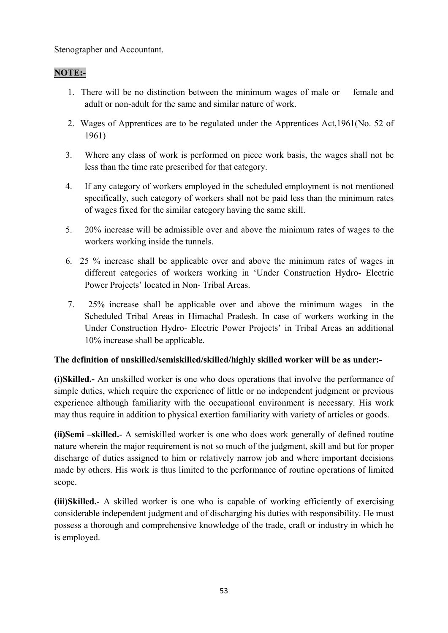Stenographer and Accountant.

### NOTE:-

- 1. There will be no distinction between the minimum wages of male or female and adult or non-adult for the same and similar nature of work.
- 2. Wages of Apprentices are to be regulated under the Apprentices Act,1961(No. 52 of 1961)
- 3. Where any class of work is performed on piece work basis, the wages shall not be less than the time rate prescribed for that category.
- 4. If any category of workers employed in the scheduled employment is not mentioned specifically, such category of workers shall not be paid less than the minimum rates of wages fixed for the similar category having the same skill.
- 5. 20% increase will be admissible over and above the minimum rates of wages to the workers working inside the tunnels.
- 6. 25 % increase shall be applicable over and above the minimum rates of wages in different categories of workers working in 'Under Construction Hydro- Electric Power Projects' located in Non- Tribal Areas.
- 7. 25% increase shall be applicable over and above the minimum wages in the Scheduled Tribal Areas in Himachal Pradesh. In case of workers working in the Under Construction Hydro- Electric Power Projects' in Tribal Areas an additional 10% increase shall be applicable.

### The definition of unskilled/semiskilled/skilled/highly skilled worker will be as under:-

(i)Skilled.- An unskilled worker is one who does operations that involve the performance of simple duties, which require the experience of little or no independent judgment or previous experience although familiarity with the occupational environment is necessary. His work may thus require in addition to physical exertion familiarity with variety of articles or goods.

(ii)Semi –skilled.- A semiskilled worker is one who does work generally of defined routine nature wherein the major requirement is not so much of the judgment, skill and but for proper discharge of duties assigned to him or relatively narrow job and where important decisions made by others. His work is thus limited to the performance of routine operations of limited scope.

(iii)Skilled.- A skilled worker is one who is capable of working efficiently of exercising considerable independent judgment and of discharging his duties with responsibility. He must possess a thorough and comprehensive knowledge of the trade, craft or industry in which he is employed.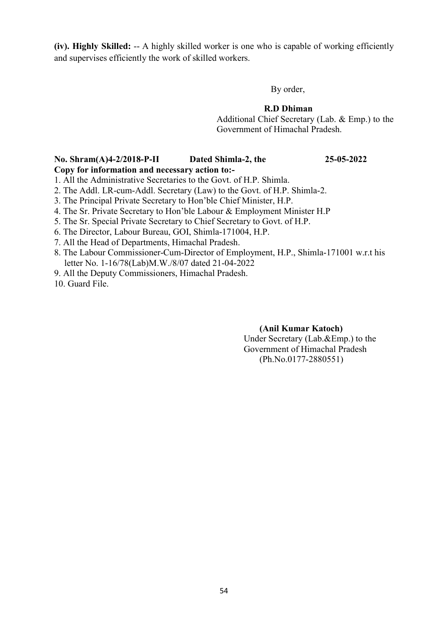(iv). Highly Skilled: -- A highly skilled worker is one who is capable of working efficiently and supervises efficiently the work of skilled workers.

By order,

### R.D Dhiman

 Additional Chief Secretary (Lab. & Emp.) to the Government of Himachal Pradesh.

### No. Shram(A)4-2/2018-P-II Dated Shimla-2, the 25-05-2022

Copy for information and necessary action to:-

1. All the Administrative Secretaries to the Govt. of H.P. Shimla.

- 2. The Addl. LR-cum-Addl. Secretary (Law) to the Govt. of H.P. Shimla-2.
- 3. The Principal Private Secretary to Hon'ble Chief Minister, H.P.
- 4. The Sr. Private Secretary to Hon'ble Labour & Employment Minister H.P
- 5. The Sr. Special Private Secretary to Chief Secretary to Govt. of H.P.
- 6. The Director, Labour Bureau, GOI, Shimla-171004, H.P.
- 7. All the Head of Departments, Himachal Pradesh.
- 8. The Labour Commissioner-Cum-Director of Employment, H.P., Shimla-171001 w.r.t his letter No. 1-16/78(Lab)M.W./8/07 dated 21-04-2022
- 9. All the Deputy Commissioners, Himachal Pradesh.

10. Guard File.

### (Anil Kumar Katoch)

Under Secretary (Lab.&Emp.) to the Government of Himachal Pradesh (Ph.No.0177-2880551)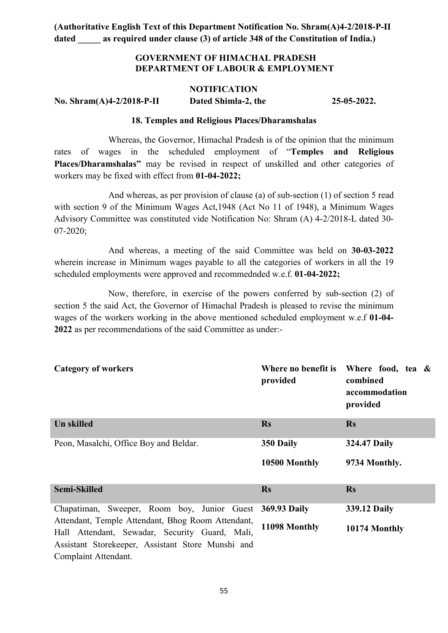### GOVERNMENT OF HIMACHAL PRADESH DEPARTMENT OF LABOUR & EMPLOYMENT

#### **NOTIFICATION**

No. Shram(A)4-2/2018-P-II Dated Shimla-2, the 25-05-2022.

#### 18. Temples and Religious Places/Dharamshalas

Whereas, the Governor, Himachal Pradesh is of the opinion that the minimum rates of wages in the scheduled employment of "Temples and Religious Places/Dharamshalas" may be revised in respect of unskilled and other categories of workers may be fixed with effect from 01-04-2022;

And whereas, as per provision of clause (a) of sub-section (1) of section 5 read with section 9 of the Minimum Wages Act,1948 (Act No 11 of 1948), a Minimum Wages Advisory Committee was constituted vide Notification No: Shram (A) 4-2/2018-L dated 30- 07-2020;

And whereas, a meeting of the said Committee was held on 30-03-2022 wherein increase in Minimum wages payable to all the categories of workers in all the 19 scheduled employments were approved and recommednded w.e.f. 01-04-2022;

Now, therefore, in exercise of the powers conferred by sub-section (2) of section 5 the said Act, the Governor of Himachal Pradesh is pleased to revise the minimum wages of the workers working in the above mentioned scheduled employment w.e.f 01-04- 2022 as per recommendations of the said Committee as under:-

| <b>Category of workers</b>                                                                          | provided      | Where no benefit is Where food, tea $\&$<br>combined<br>accommodation<br>provided |
|-----------------------------------------------------------------------------------------------------|---------------|-----------------------------------------------------------------------------------|
| <b>Un skilled</b>                                                                                   | <b>Rs</b>     | <b>Rs</b>                                                                         |
| Peon, Masalchi, Office Boy and Beldar.                                                              | 350 Daily     | <b>324.47 Daily</b>                                                               |
|                                                                                                     | 10500 Monthly | 9734 Monthly.                                                                     |
| <b>Semi-Skilled</b>                                                                                 | <b>Rs</b>     | <b>Rs</b>                                                                         |
| Chapatiman, Sweeper, Room boy, Junior Guest                                                         | 369.93 Daily  | 339.12 Daily                                                                      |
| Attendant, Temple Attendant, Bhog Room Attendant,<br>Hall Attendant, Sewadar, Security Guard, Mali, | 11098 Monthly | 10174 Monthly                                                                     |
| Assistant Storekeeper, Assistant Store Munshi and                                                   |               |                                                                                   |
| Complaint Attendant.                                                                                |               |                                                                                   |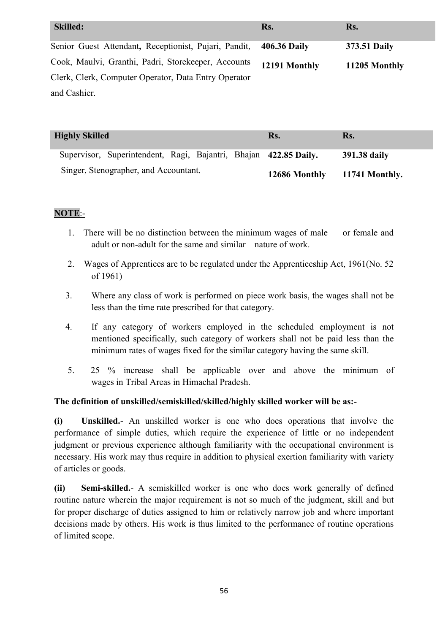| <b>Skilled:</b>                                       | Rs.           | Rs.           |
|-------------------------------------------------------|---------------|---------------|
| Senior Guest Attendant, Receptionist, Pujari, Pandit, | 406.36 Daily  | 373.51 Daily  |
| Cook, Maulvi, Granthi, Padri, Storekeeper, Accounts   | 12191 Monthly | 11205 Monthly |
| Clerk, Clerk, Computer Operator, Data Entry Operator  |               |               |
| and Cashier.                                          |               |               |

| <b>Highly Skilled</b>                                            | Rs.           | Rs.            |
|------------------------------------------------------------------|---------------|----------------|
| Supervisor, Superintendent, Ragi, Bajantri, Bhajan 422.85 Daily. |               | 391.38 daily   |
| Singer, Stenographer, and Accountant.                            | 12686 Monthly | 11741 Monthly. |

### NOTE:-

- 1. There will be no distinction between the minimum wages of male or female and adult or non-adult for the same and similar nature of work.
- 2. Wages of Apprentices are to be regulated under the Apprenticeship Act, 1961(No. 52 of 1961)
- 3. Where any class of work is performed on piece work basis, the wages shall not be less than the time rate prescribed for that category.
- 4. If any category of workers employed in the scheduled employment is not mentioned specifically, such category of workers shall not be paid less than the minimum rates of wages fixed for the similar category having the same skill.
- 5. 25 % increase shall be applicable over and above the minimum of wages in Tribal Areas in Himachal Pradesh.

### The definition of unskilled/semiskilled/skilled/highly skilled worker will be as:-

(i) Unskilled.- An unskilled worker is one who does operations that involve the performance of simple duties, which require the experience of little or no independent judgment or previous experience although familiarity with the occupational environment is necessary. His work may thus require in addition to physical exertion familiarity with variety of articles or goods.

(ii) Semi-skilled.- A semiskilled worker is one who does work generally of defined routine nature wherein the major requirement is not so much of the judgment, skill and but for proper discharge of duties assigned to him or relatively narrow job and where important decisions made by others. His work is thus limited to the performance of routine operations of limited scope.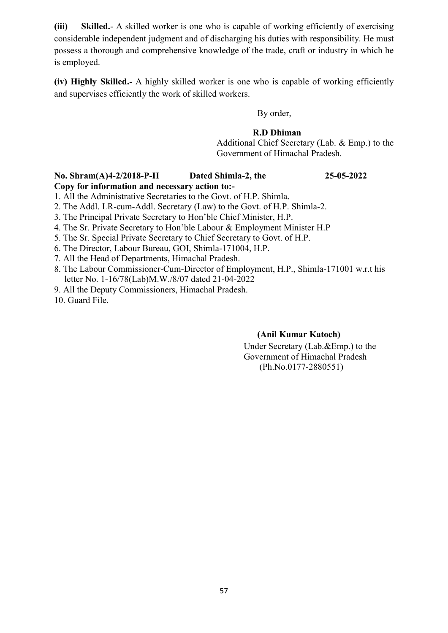(iii) Skilled.- A skilled worker is one who is capable of working efficiently of exercising considerable independent judgment and of discharging his duties with responsibility. He must possess a thorough and comprehensive knowledge of the trade, craft or industry in which he is employed.

(iv) Highly Skilled.- A highly skilled worker is one who is capable of working efficiently and supervises efficiently the work of skilled workers.

By order,

### R.D Dhiman

 Additional Chief Secretary (Lab. & Emp.) to the Government of Himachal Pradesh.

### No. Shram(A)4-2/2018-P-II Dated Shimla-2, the 25-05-2022 Copy for information and necessary action to:-

1. All the Administrative Secretaries to the Govt. of H.P. Shimla.

2. The Addl. LR-cum-Addl. Secretary (Law) to the Govt. of H.P. Shimla-2.

3. The Principal Private Secretary to Hon'ble Chief Minister, H.P.

4. The Sr. Private Secretary to Hon'ble Labour & Employment Minister H.P

5. The Sr. Special Private Secretary to Chief Secretary to Govt. of H.P.

6. The Director, Labour Bureau, GOI, Shimla-171004, H.P.

7. All the Head of Departments, Himachal Pradesh.

8. The Labour Commissioner-Cum-Director of Employment, H.P., Shimla-171001 w.r.t his letter No. 1-16/78(Lab)M.W./8/07 dated 21-04-2022

9. All the Deputy Commissioners, Himachal Pradesh.

10. Guard File.

### (Anil Kumar Katoch)

Under Secretary (Lab.&Emp.) to the Government of Himachal Pradesh (Ph.No.0177-2880551)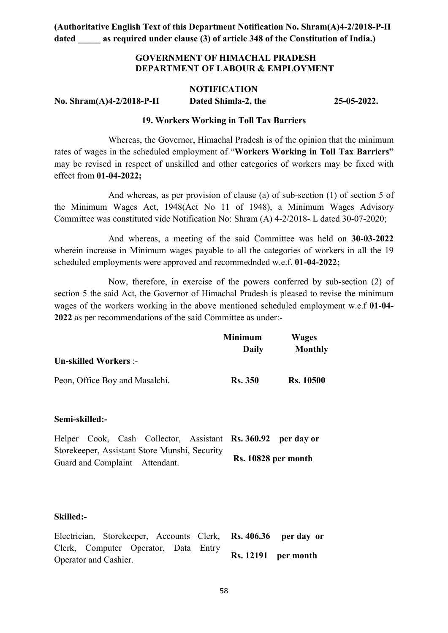### GOVERNMENT OF HIMACHAL PRADESH DEPARTMENT OF LABOUR & EMPLOYMENT

#### **NOTIFICATION**

No. Shram(A)4-2/2018-P-II Dated Shimla-2, the 25-05-2022.

#### 19. Workers Working in Toll Tax Barriers

Whereas, the Governor, Himachal Pradesh is of the opinion that the minimum rates of wages in the scheduled employment of "Workers Working in Toll Tax Barriers" may be revised in respect of unskilled and other categories of workers may be fixed with effect from 01-04-2022;

And whereas, as per provision of clause (a) of sub-section (1) of section 5 of the Minimum Wages Act, 1948(Act No 11 of 1948), a Minimum Wages Advisory Committee was constituted vide Notification No: Shram (A) 4-2/2018- L dated 30-07-2020;

And whereas, a meeting of the said Committee was held on 30-03-2022 wherein increase in Minimum wages payable to all the categories of workers in all the 19 scheduled employments were approved and recommednded w.e.f. 01-04-2022;

Now, therefore, in exercise of the powers conferred by sub-section (2) of section 5 the said Act, the Governor of Himachal Pradesh is pleased to revise the minimum wages of the workers working in the above mentioned scheduled employment w.e.f 01-04- 2022 as per recommendations of the said Committee as under:-

|                                | <b>Minimum</b> | <b>Wages</b>     |  |
|--------------------------------|----------------|------------------|--|
|                                | Daily          | Monthly          |  |
| <b>Un-skilled Workers:-</b>    |                |                  |  |
| Peon, Office Boy and Masalchi. | <b>Rs.</b> 350 | <b>Rs.</b> 10500 |  |

#### Semi-skilled:-

Helper Cook, Cash Collector, Assistant Rs. 360.92 per day or Storekeeper, Assistant Store Munshi, Security Guard and Complaint Attendant. Rs. 10828 per month

#### Skilled:-

Electrician, Storekeeper, Accounts Clerk, Clerk, Computer Operator, Data Entry Operator and Cashier. Rs. 406.36 per day or Rs. 12191 per month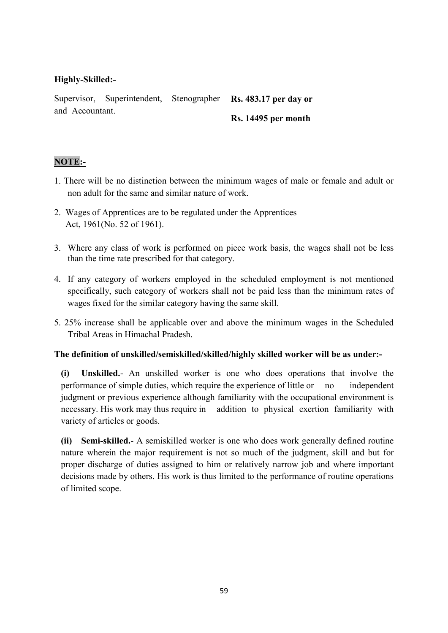### Highly-Skilled:-

Supervisor, Superintendent, Stenographer and Accountant. Rs. 483.17 per day or Rs. 14495 per month

### NOTE:-

- 1. There will be no distinction between the minimum wages of male or female and adult or non adult for the same and similar nature of work.
- 2. Wages of Apprentices are to be regulated under the Apprentices Act, 1961(No. 52 of 1961).
- 3. Where any class of work is performed on piece work basis, the wages shall not be less than the time rate prescribed for that category.
- 4. If any category of workers employed in the scheduled employment is not mentioned specifically, such category of workers shall not be paid less than the minimum rates of wages fixed for the similar category having the same skill.
- 5. 25% increase shall be applicable over and above the minimum wages in the Scheduled Tribal Areas in Himachal Pradesh.

### The definition of unskilled/semiskilled/skilled/highly skilled worker will be as under:-

(i) Unskilled.- An unskilled worker is one who does operations that involve the performance of simple duties, which require the experience of little or no independent judgment or previous experience although familiarity with the occupational environment is necessary. His work may thus require in addition to physical exertion familiarity with variety of articles or goods.

(ii) Semi-skilled.- A semiskilled worker is one who does work generally defined routine nature wherein the major requirement is not so much of the judgment, skill and but for proper discharge of duties assigned to him or relatively narrow job and where important decisions made by others. His work is thus limited to the performance of routine operations of limited scope.